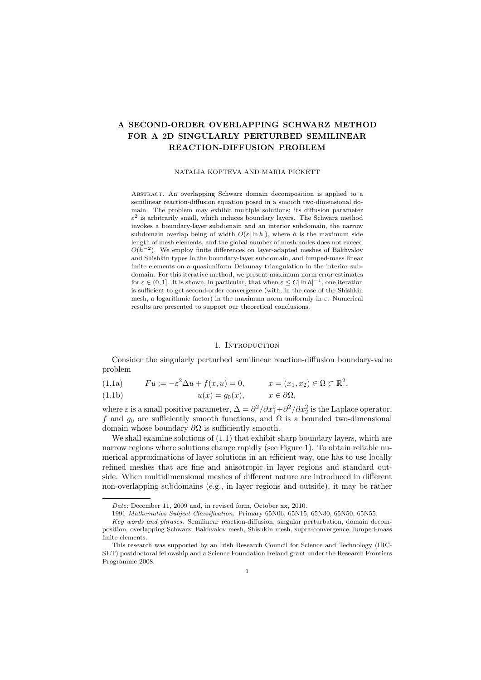# **A SECOND-ORDER OVERLAPPING SCHWARZ METHOD FOR A 2D SINGULARLY PERTURBED SEMILINEAR REACTION-DIFFUSION PROBLEM**

### NATALIA KOPTEVA AND MARIA PICKETT

Abstract. An overlapping Schwarz domain decomposition is applied to a semilinear reaction-diffusion equation posed in a smooth two-dimensional domain. The problem may exhibit multiple solutions; its diffusion parameter  $\varepsilon^2$  is arbitrarily small, which induces boundary layers. The Schwarz method invokes a boundary-layer subdomain and an interior subdomain, the narrow subdomain overlap being of width  $O(\varepsilon |\ln h|)$ , where *h* is the maximum side length of mesh elements, and the global number of mesh nodes does not exceed *O*( $h$ <sup>-2</sup>). We employ finite differences on layer-adapted meshes of Bakhvalov and Shishkin types in the boundary-layer subdomain, and lumped-mass linear finite elements on a quasiuniform Delaunay triangulation in the interior subdomain. For this iterative method, we present maximum norm error estimates for  $\varepsilon \in (0, 1]$ . It is shown, in particular, that when  $\varepsilon \leq C |\ln h|^{-1}$ , one iteration is sufficient to get second-order convergence (with, in the case of the Shishkin mesh, a logarithmic factor) in the maximum norm uniformly in *ε*. Numerical results are presented to support our theoretical conclusions.

#### 1. INTRODUCTION

Consider the singularly perturbed semilinear reaction-diffusion boundary-value problem

(1.1a)  $Fu := -\varepsilon^2 \Delta u + f(x, u) = 0, \qquad x = (x_1, x_2) \in \Omega \subset \mathbb{R}^2,$ 

(1.1b) 
$$
u(x) = g_0(x), \qquad x \in \partial \Omega,
$$

where  $\varepsilon$  is a small positive parameter,  $\Delta = \frac{\partial^2}{\partial x_1^2} + \frac{\partial^2}{\partial x_2^2}$  is the Laplace operator, *f* and  $g_0$  are sufficiently smooth functions, and  $\Omega$  is a bounded two-dimensional domain whose boundary *∂*Ω is sufficiently smooth.

We shall examine solutions of  $(1.1)$  that exhibit sharp boundary layers, which are narrow regions where solutions change rapidly (see Figure 1). To obtain reliable numerical approximations of layer solutions in an efficient way, one has to use locally refined meshes that are fine and anisotropic in layer regions and standard outside. When multidimensional meshes of different nature are introduced in different non-overlapping subdomains (e.g., in layer regions and outside), it may be rather

*Date*: December 11, 2009 and, in revised form, October xx, 2010.

<sup>1991</sup> *Mathematics Subject Classification.* Primary 65N06, 65N15, 65N30, 65N50, 65N55.

*Key words and phrases.* Semilinear reaction-diffusion, singular perturbation, domain decomposition, overlapping Schwarz, Bakhvalov mesh, Shishkin mesh, supra-convergence, lumped-mass finite elements.

This research was supported by an Irish Research Council for Science and Technology (IRC-SET) postdoctoral fellowship and a Science Foundation Ireland grant under the Research Frontiers Programme 2008.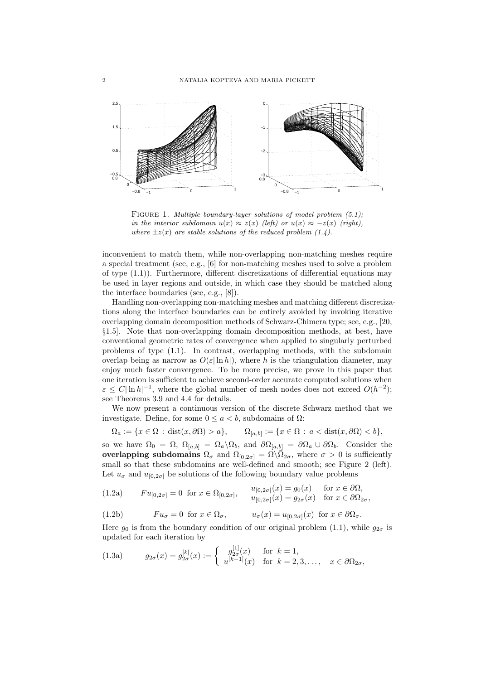

FIGURE 1. *Multiple boundary-layer solutions of model problem (5.1)*; *in the interior subdomain*  $u(x) \approx z(x)$  *(left)* or  $u(x) \approx -z(x)$  *(right), where*  $\pm z(x)$  *are stable solutions of the reduced problem (1.4).* 

inconvenient to match them, while non-overlapping non-matching meshes require a special treatment (see, e.g., [6] for non-matching meshes used to solve a problem of type (1.1)). Furthermore, different discretizations of differential equations may be used in layer regions and outside, in which case they should be matched along the interface boundaries (see, e.g., [8]).

Handling non-overlapping non-matching meshes and matching different discretizations along the interface boundaries can be entirely avoided by invoking iterative overlapping domain decomposition methods of Schwarz-Chimera type; see, e.g., [20, *§*1.5]. Note that non-overlapping domain decomposition methods, at best, have conventional geometric rates of convergence when applied to singularly perturbed problems of type (1.1). In contrast, overlapping methods, with the subdomain overlap being as narrow as  $O(\varepsilon |\ln h|)$ , where h is the triangulation diameter, may enjoy much faster convergence. To be more precise, we prove in this paper that one iteration is sufficient to achieve second-order accurate computed solutions when  $\varepsilon \leq C |\ln h|^{-1}$ , where the global number of mesh nodes does not exceed  $O(h^{-2})$ ; see Theorems 3.9 and 4.4 for details.

We now present a continuous version of the discrete Schwarz method that we investigate. Define, for some 0 *≤ a < b*, subdomains of Ω:

$$
\Omega_a := \{ x \in \Omega \, : \, \text{dist}(x, \partial \Omega) > a \}, \qquad \Omega_{[a,b]} := \{ x \in \Omega \, : \, a < \text{dist}(x, \partial \Omega) < b \},
$$

so we have  $\Omega_0 = \Omega$ ,  $\Omega_{[a,b]} = \Omega_a \setminus \Omega_b$ , and  $\partial \Omega_{[a,b]} = \partial \Omega_a \cup \partial \Omega_b$ . Consider the **overlapping subdomains**  $\Omega_{\sigma}$  and  $\Omega_{[0,2\sigma]} = \Omega \setminus \overline{\Omega}_{2\sigma}$ , where  $\sigma > 0$  is sufficiently small so that these subdomains are well-defined and smooth; see Figure 2 (left). Let  $u_{\sigma}$  and  $u_{[0,2\sigma]}$  be solutions of the following boundary value problems

$$
(1.2a) \t\t\t\t Fu_{[0,2\sigma]} = 0 \t\t\tfor\t\t\tx \in \Omega_{[0,2\sigma]}, \t\t\t\t\begin{array}{l}\n u_{[0,2\sigma]}(x) = g_0(x) \\
 u_{[0,2\sigma]}(x) = g_{2\sigma}(x) \t\t\tfor\t\t\tx \in \partial\Omega_{2\sigma},\n\end{array}
$$

(1.2b) 
$$
Fu_{\sigma} = 0 \text{ for } x \in \Omega_{\sigma}, \qquad u_{\sigma}(x) = u_{[0,2\sigma]}(x) \text{ for } x \in \partial\Omega_{\sigma}.
$$

Here  $q_0$  is from the boundary condition of our original problem (1.1), while  $q_{2\sigma}$  is updated for each iteration by

(1.3a) 
$$
g_{2\sigma}(x) = g_{2\sigma}^{[k]}(x) := \begin{cases} g_{2\sigma}^{[1]}(x) & \text{for } k = 1, \\ u^{[k-1]}(x) & \text{for } k = 2, 3, ..., \end{cases} x \in \partial\Omega_{2\sigma},
$$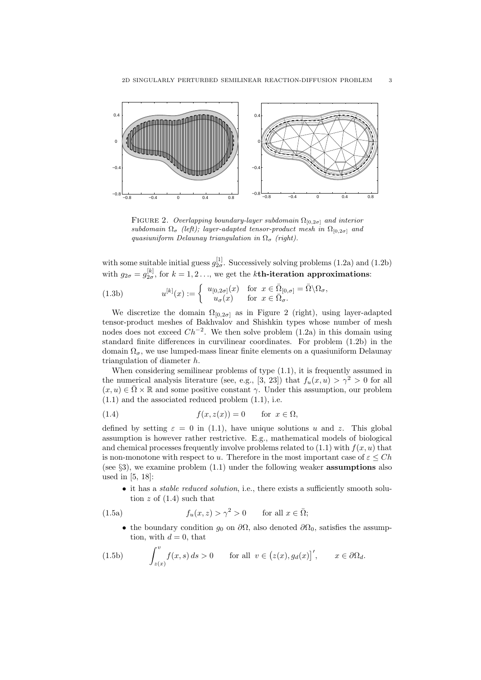

FIGURE 2. *Overlapping boundary-layer subdomain*  $\Omega_{[0,2\sigma]}$  *and interior subdomain*  $\Omega_{\sigma}$  *(left); layer-adapted tensor-product mesh in*  $\Omega_{[0,2\sigma]}$  *and quasiuniform Delaunay triangulation in*  $\Omega_{\sigma}$  *(right).* 

with some suitable initial guess  $g_{2\sigma}^{[1]}$ . Successively solving problems (1.2a) and (1.2b) with  $g_{2\sigma} = g_{2\sigma}^{[k]}$ , for  $k = 1, 2, \ldots$ , we get the *k***th-iteration approximations**:

(1.3b) 
$$
u^{[k]}(x) := \begin{cases} u_{[0,2\sigma]}(x) & \text{for } x \in \overline{\Omega}_{[0,\sigma]} = \overline{\Omega} \setminus \Omega_{\sigma}, \\ u_{\sigma}(x) & \text{for } x \in \overline{\Omega}_{\sigma}. \end{cases}
$$

We discretize the domain  $\Omega_{[0,2\sigma]}$  as in Figure 2 (right), using layer-adapted tensor-product meshes of Bakhvalov and Shishkin types whose number of mesh nodes does not exceed *Ch−*<sup>2</sup> . We then solve problem (1.2a) in this domain using standard finite differences in curvilinear coordinates. For problem (1.2b) in the domain  $\Omega_{\sigma}$ , we use lumped-mass linear finite elements on a quasiuniform Delaunay triangulation of diameter *h*.

When considering semilinear problems of type  $(1.1)$ , it is frequently assumed in the numerical analysis literature (see, e.g., [3, 23]) that  $f_u(x, u) > \gamma^2 > 0$  for all  $(x, u) \in \overline{\Omega} \times \mathbb{R}$  and some positive constant  $\gamma$ . Under this assumption, our problem (1.1) and the associated reduced problem (1.1), i.e.

$$
(1.4) \t\t f(x, z(x)) = 0 \t\t for \t x \in \Omega,
$$

defined by setting  $\varepsilon = 0$  in (1.1), have unique solutions *u* and *z*. This global assumption is however rather restrictive. E.g., mathematical models of biological and chemical processes frequently involve problems related to  $(1.1)$  with  $f(x, u)$  that is non-monotone with respect to *u*. Therefore in the most important case of  $\varepsilon \leq Ch$ (see *§*3), we examine problem (1.1) under the following weaker **assumptions** also used in [5, 18]:

• it has a *stable reduced solution*, i.e., there exists a sufficiently smooth solution  $z$  of  $(1.4)$  such that

(1.5a) 
$$
f_u(x, z) > \gamma^2 > 0 \quad \text{for all } x \in \overline{\Omega};
$$

• the boundary condition  $g_0$  on  $\partial\Omega$ , also denoted  $\partial\Omega_0$ , satisfies the assumption, with  $d = 0$ , that

(1.5b) 
$$
\int_{z(x)}^{v} f(x, s) ds > 0 \quad \text{for all } v \in (z(x), g_d(x)]', \quad x \in \partial \Omega_d.
$$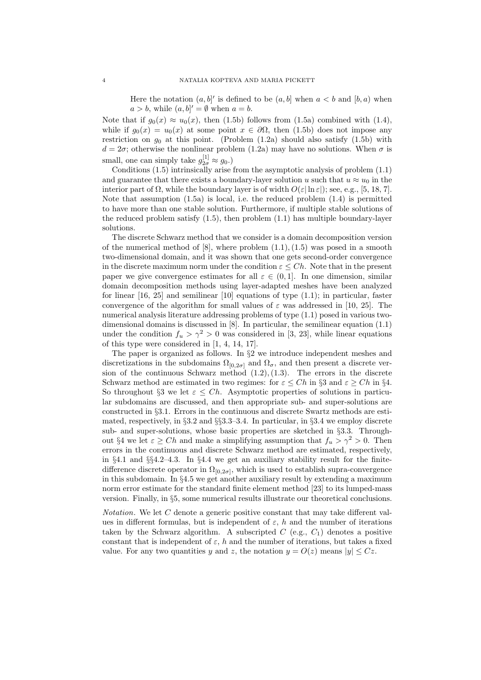Here the notation  $(a, b]'$  is defined to be  $(a, b]$  when  $a < b$  and  $[b, a)$  when  $a > b$ , while  $(a, b)' = \emptyset$  when  $a = b$ .

Note that if  $g_0(x) \approx u_0(x)$ , then (1.5b) follows from (1.5a) combined with (1.4), while if  $g_0(x) = u_0(x)$  at some point  $x \in \partial\Omega$ , then (1.5b) does not impose any restriction on  $g_0$  at this point. (Problem  $(1.2a)$  should also satisfy  $(1.5b)$  with  $d = 2\sigma$ ; otherwise the nonlinear problem (1.2a) may have no solutions. When  $\sigma$  is small, one can simply take  $g_{2\sigma}^{[1]} \approx g_0$ .)

Conditions (1.5) intrinsically arise from the asymptotic analysis of problem (1.1) and guarantee that there exists a boundary-layer solution *u* such that  $u \approx u_0$  in the interior part of Ω, while the boundary layer is of width  $O(ε|\ln ε|)$ ; see, e.g., [5, 18, 7]. Note that assumption (1.5a) is local, i.e. the reduced problem (1.4) is permitted to have more than one stable solution. Furthermore, if multiple stable solutions of the reduced problem satisfy  $(1.5)$ , then problem  $(1.1)$  has multiple boundary-layer solutions.

The discrete Schwarz method that we consider is a domain decomposition version of the numerical method of  $[8]$ , where problem  $(1.1), (1.5)$  was posed in a smooth two-dimensional domain, and it was shown that one gets second-order convergence in the discrete maximum norm under the condition  $\varepsilon \leq Ch$ . Note that in the present paper we give convergence estimates for all  $\varepsilon \in (0,1]$ . In one dimension, similar domain decomposition methods using layer-adapted meshes have been analyzed for linear [16, 25] and semilinear [10] equations of type (1.1); in particular, faster convergence of the algorithm for small values of  $\varepsilon$  was addressed in [10, 25]. The numerical analysis literature addressing problems of type (1.1) posed in various twodimensional domains is discussed in [8]. In particular, the semilinear equation (1.1) under the condition  $f_u > \gamma^2 > 0$  was considered in [3, 23], while linear equations of this type were considered in [1, 4, 14, 17].

The paper is organized as follows. In *§*2 we introduce independent meshes and discretizations in the subdomains  $\Omega_{[0,2\sigma]}$  and  $\Omega_{\sigma}$ , and then present a discrete version of the continuous Schwarz method  $(1.2), (1.3)$ . The errors in the discrete Schwarz method are estimated in two regimes: for  $\varepsilon \leq Ch$  in §3 and  $\varepsilon \geq Ch$  in §4. So throughout *§*3 we let  $\varepsilon \leq Ch$ . Asymptotic properties of solutions in particular subdomains are discussed, and then appropriate sub- and super-solutions are constructed in *§*3.1. Errors in the continuous and discrete Swartz methods are estimated, respectively, in *§*3.2 and *§§*3.3–3.4. In particular, in *§*3.4 we employ discrete sub- and super-solutions, whose basic properties are sketched in *§*3.3. Throughout §4 we let  $\varepsilon \geq Ch$  and make a simplifying assumption that  $f_u > \gamma^2 > 0$ . Then errors in the continuous and discrete Schwarz method are estimated, respectively, in *§*4.1 and *§§*4.2–4.3. In *§*4.4 we get an auxiliary stability result for the finitedifference discrete operator in  $\Omega_{[0,2\sigma]}$ , which is used to establish supra-convergence in this subdomain. In *§*4.5 we get another auxiliary result by extending a maximum norm error estimate for the standard finite element method [23] to its lumped-mass version. Finally, in *§*5, some numerical results illustrate our theoretical conclusions.

*Notation*. We let *C* denote a generic positive constant that may take different values in different formulas, but is independent of  $\varepsilon$ , *h* and the number of iterations taken by the Schwarz algorithm. A subscripted  $C$  (e.g.,  $C_1$ ) denotes a positive constant that is independent of  $\varepsilon$ ,  $h$  and the number of iterations, but takes a fixed value. For any two quantities *y* and *z*, the notation  $y = O(z)$  means  $|y| \le Cz$ .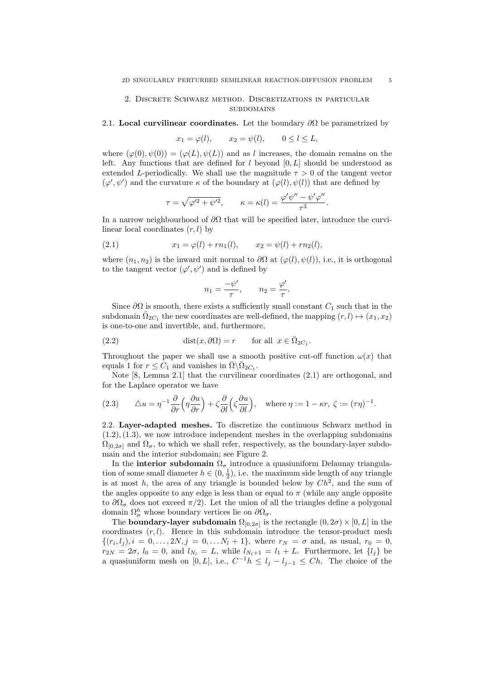## 2. Discrete Schwarz method. Discretizations in particular **SUBDOMAINS**

### 2.1. **Local curvilinear coordinates.** Let the boundary  $\partial\Omega$  be parametrized by

$$
x_1 = \varphi(l), \qquad x_2 = \psi(l), \qquad 0 \le l \le L,
$$

where  $(\varphi(0), \psi(0)) = (\varphi(L), \psi(L))$  and as *l* increases, the domain remains on the left. Any functions that are defined for *l* beyond [0*, L*] should be understood as extended *L*-periodically. We shall use the magnitude  $\tau > 0$  of the tangent vector  $(\varphi', \psi')$  and the curvature  $\kappa$  of the boundary at  $(\varphi(l), \psi(l))$  that are defined by

$$
\tau = \sqrt{\varphi'^2 + \psi'^2}, \qquad \kappa = \kappa(l) = \frac{\varphi' \psi'' - \psi' \varphi''}{\tau^3}.
$$

In a narrow neighbourhood of *∂*Ω that will be specified later, introduce the curvilinear local coordinates (*r, l*) by

(2.1) 
$$
x_1 = \varphi(l) + rn_1(l), \qquad x_2 = \psi(l) + rn_2(l),
$$

where  $(n_1, n_2)$  is the inward unit normal to  $\partial\Omega$  at  $(\varphi(l), \psi(l))$ , i.e., it is orthogonal to the tangent vector  $(\varphi', \psi')$  and is defined by

$$
n_1 = \frac{-\psi'}{\tau}, \qquad n_2 = \frac{\varphi'}{\tau}.
$$

Since  $\partial\Omega$  is smooth, there exists a sufficiently small constant  $C_1$  such that in the subdomain  $\bar{\Omega}_{2C_1}$  the new coordinates are well-defined, the mapping  $(r, l) \mapsto (x_1, x_2)$ is one-to-one and invertible, and, furthermore,

(2.2) 
$$
\text{dist}(x, \partial \Omega) = r \quad \text{for all } x \in \overline{\Omega}_{2C_1}.
$$

Throughout the paper we shall use a smooth positive cut-off function  $\omega(x)$  that equals 1 for  $r \leq C_1$  and vanishes in  $\overline{\Omega} \backslash \overline{\Omega}_{2C_1}$ .

Note [8, Lemma 2.1] that the curvilinear coordinates (2.1) are orthogonal, and for the Laplace operator we have

(2.3) 
$$
\Delta u = \eta^{-1} \frac{\partial}{\partial r} \left( \eta \frac{\partial u}{\partial r} \right) + \zeta \frac{\partial}{\partial l} \left( \zeta \frac{\partial u}{\partial l} \right), \text{ where } \eta := 1 - \kappa r, \ \zeta := (\tau \eta)^{-1}.
$$

2.2. **Layer-adapted meshes.** To discretize the continuous Schwarz method in  $(1.2), (1.3),$  we now introduce independent meshes in the overlapping subdomains  $\Omega_{[0,2\sigma]}$  and  $\Omega_{\sigma}$ , to which we shall refer, respectively, as the boundary-layer subdomain and the interior subdomain; see Figure 2.

In the **interior subdomain**  $\Omega_{\sigma}$  introduce a quasiuniform Delaunay triangulation of some small diameter  $h \in (0, \frac{1}{2})$ , i.e. the maximum side length of any triangle is at most *h*, the area of any triangle is bounded below by *Ch*<sup>2</sup> , and the sum of the angles opposite to any edge is less than or equal to  $\pi$  (while any angle opposite to  $\partial\Omega_{\sigma}$  does not exceed  $\pi/2$ ). Let the union of all the triangles define a polygonal domain  $\Omega^h_{\sigma}$  whose boundary vertices lie on  $\partial\Omega_{\sigma}$ .

The **boundary-layer subdomain**  $\Omega_{[0,2\sigma]}$  is the rectangle  $(0,2\sigma) \times [0,L]$  in the coordinates  $(r, l)$ . Hence in this subdomain introduce the tensor-product mesh  $\{(r_i, l_j), i = 0, \ldots, 2N, j = 0, \ldots N_l + 1\}$ , where  $r_N = \sigma$  and, as usual,  $r_0 = 0$ ,  $r_{2N} = 2\sigma$ ,  $l_0 = 0$ , and  $l_{N_l} = L$ , while  $l_{N_l+1} = l_1 + L$ . Furthermore, let  $\{l_j\}$  be a quasiuniform mesh on [0, L], i.e.,  $C^{-1}h \leq l_j - l_{j-1} \leq Ch$ . The choice of the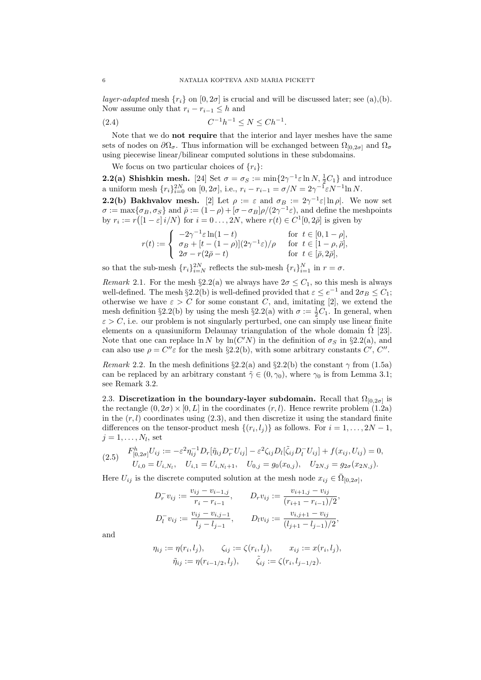*layer-adapted* mesh  $\{r_i\}$  on  $[0, 2\sigma]$  is crucial and will be discussed later; see (a),(b). Now assume only that  $r_i - r_{i-1} \leq h$  and

(2.4) 
$$
C^{-1}h^{-1} \le N \le Ch^{-1}.
$$

Note that we do **not require** that the interior and layer meshes have the same sets of nodes on  $\partial\Omega_{\sigma}$ . Thus information will be exchanged between  $\Omega_{[0,2\sigma]}$  and  $\Omega_{\sigma}$ using piecewise linear/bilinear computed solutions in these subdomains.

We focus on two particular choices of  $\{r_i\}$ :

**2.2(a) Shishkin mesh.** [24] Set  $\sigma = \sigma_S := \min\{2\gamma^{-1}\varepsilon \ln N, \frac{1}{2}C_1\}$  and introduce a uniform mesh  $\{r_i\}_{i=0}^{2N}$  on  $[0, 2\sigma]$ , i.e.,  $r_i - r_{i-1} = \sigma/N = 2\gamma^{-1} \varepsilon N^{-1} \ln N$ .

**2.2(b) Bakhvalov mesh.** [2] Let  $\rho := \varepsilon$  and  $\sigma_B := 2\gamma^{-1}\varepsilon |\ln \rho|$ . We now set  $\sigma := \max\{\sigma_B, \sigma_S\}$  and  $\bar{\rho} := (1 - \rho) + [\sigma - \sigma_B]\rho/(2\gamma^{-1}\varepsilon)$ , and define the meshpoints by  $r_i := r([1 - \varepsilon]i/N)$  for  $i = 0, \ldots, 2N$ , where  $r(t) \in C^1[0, 2\overline{\rho}]$  is given by

$$
r(t):=\left\{\begin{array}{ll} -2\gamma^{-1}\varepsilon\ln(1-t) & \text{for}\;\; t\in[0,1-\rho],\\ \sigma_B+[t-(1-\rho)](2\gamma^{-1}\varepsilon)/\rho & \text{for}\;\; t\in[1-\rho,\bar\rho],\\ 2\sigma-r(2\bar\rho-t) & \text{for}\;\; t\in[\bar\rho,2\bar\rho], \end{array}\right.
$$

so that the sub-mesh  $\{r_i\}_{i=N}^{2N}$  reflects the sub-mesh  $\{r_i\}_{i=1}^N$  in  $r = \sigma$ .

*Remark* 2.1. For the mesh  $\S 2.2(a)$  we always have  $2\sigma \leq C_1$ , so this mesh is always well-defined. The mesh  $\S 2.2(b)$  is well-defined provided that  $\varepsilon \le e^{-1}$  and  $2\sigma_B \le C_1$ ; otherwise we have  $\varepsilon > C$  for some constant *C*, and, imitating [2], we extend the mesh definition *§*2.2(b) by using the mesh *§*2.2(a) with  $\sigma := \frac{1}{2}C_1$ . In general, when  $\varepsilon > C$ , i.e. our problem is not singularly perturbed, one can simply use linear finite elements on a quasiuniform Delaunay triangulation of the whole domain  $\overline{\Omega}$  [23]. Note that one can replace  $\ln N$  by  $\ln(C'N)$  in the definition of  $\sigma_S$  in §2.2(a), and can also use  $\rho = C''\varepsilon$  for the mesh §2.2(b), with some arbitrary constants  $C', C''$ .

*Remark* 2.2. In the mesh definitions  $\S 2.2(a)$  and  $\S 2.2(b)$  the constant  $\gamma$  from (1.5a) can be replaced by an arbitrary constant  $\tilde{\gamma} \in (0, \gamma_0)$ , where  $\gamma_0$  is from Lemma 3.1; see Remark 3.2.

2.3. Discretization in the boundary-layer subdomain. Recall that  $\Omega_{[0,2\sigma]}$  is the rectangle  $(0, 2\sigma) \times [0, L]$  in the coordinates  $(r, l)$ . Hence rewrite problem  $(1.2a)$ in the  $(r, l)$  coordinates using  $(2.3)$ , and then discretize it using the standard finite differences on the tensor-product mesh  $\{(r_i, l_j)\}\$ as follows. For  $i = 1, \ldots, 2N - 1$ ,  $j = 1, \ldots, N_l$ , set

$$
(2.5) \quad\n\begin{aligned}\nF_{[0,2\sigma]}^h U_{ij} &:= -\varepsilon^2 \eta_{ij}^{-1} D_r[\tilde{\eta}_{ij} D_r^- U_{ij}] - \varepsilon^2 \zeta_{ij} D_l[\tilde{\zeta}_{ij} D_l^- U_{ij}] + f(x_{ij}, U_{ij}) = 0, \\
U_{i,0} &= U_{i,N_l}, \quad U_{i,1} = U_{i,N_l+1}, \quad U_{0,j} = g_0(x_{0,j}), \quad U_{2N,j} = g_{2\sigma}(x_{2N,j}).\n\end{aligned}
$$

Here  $U_{ij}$  is the discrete computed solution at the mesh node  $x_{ij} \in \overline{\Omega}_{[0,2\sigma]}$ ,

$$
D_r^- v_{ij} := \frac{v_{ij} - v_{i-1,j}}{r_i - r_{i-1}}, \qquad D_r v_{ij} := \frac{v_{i+1,j} - v_{ij}}{(r_{i+1} - r_{i-1})/2},
$$
  

$$
D_l^- v_{ij} := \frac{v_{ij} - v_{i,j-1}}{l_j - l_{j-1}}, \qquad D_l v_{ij} := \frac{v_{i,j+1} - v_{ij}}{(l_{j+1} - l_{j-1})/2},
$$

and

$$
\eta_{ij} := \eta(r_i, l_j), \qquad \zeta_{ij} := \zeta(r_i, l_j), \qquad x_{ij} := x(r_i, l_j), \n\tilde{\eta}_{ij} := \eta(r_{i-1/2}, l_j), \qquad \tilde{\zeta}_{ij} := \zeta(r_i, l_{j-1/2}).
$$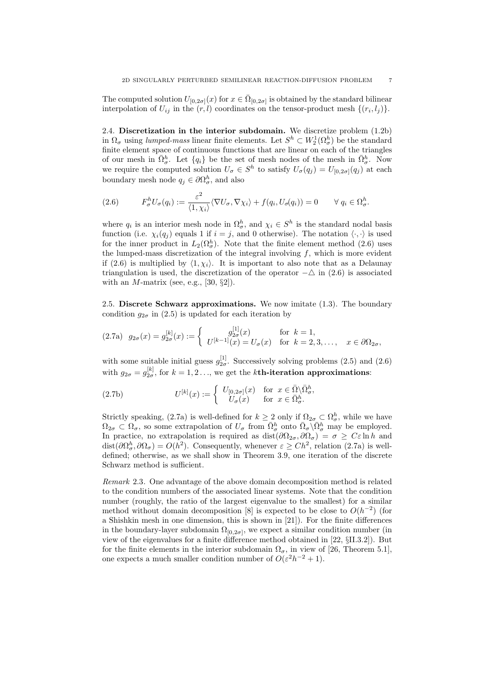The computed solution  $U_{[0,2\sigma]}(x)$  for  $x \in \overline{\Omega}_{[0,2\sigma]}$  is obtained by the standard bilinear interpolation of  $U_{ij}$  in the  $(r, l)$  coordinates on the tensor-product mesh  $\{(r_i, l_j)\}.$ 

2.4. **Discretization in the interior subdomain.** We discretize problem (1.2b) in  $\Omega_{\sigma}$  using *lumped-mass* linear finite elements. Let  $S^h \subset W_2^1(\Omega_{\sigma}^h)$  be the standard finite element space of continuous functions that are linear on each of the triangles of our mesh in  $\overline{\Omega}_{\sigma}^{h}$ . Let  $\{q_i\}$  be the set of mesh nodes of the mesh in  $\overline{\Omega}_{\sigma}^{h}$ . Now we require the computed solution  $U_{\sigma} \in S^h$  to satisfy  $U_{\sigma}(q_j) = U_{[0,2\sigma]}(q_j)$  at each boundary mesh node  $q_j \in \partial \Omega^h_{\sigma}$ , and also

(2.6) 
$$
F_{\sigma}^{h}U_{\sigma}(q_{i}) := \frac{\varepsilon^{2}}{\langle 1, \chi_{i} \rangle} \langle \nabla U_{\sigma}, \nabla \chi_{i} \rangle + f(q_{i}, U_{\sigma}(q_{i})) = 0 \qquad \forall q_{i} \in \Omega_{\sigma}^{h}.
$$

where  $q_i$  is an interior mesh node in  $\Omega_{\sigma}^h$ , and  $\chi_i \in S^h$  is the standard nodal basis function (i.e.  $\chi_i(q_j)$  equals 1 if  $i = j$ , and 0 otherwise). The notation  $\langle \cdot, \cdot \rangle$  is used for the inner product in  $L_2(\Omega^h_\sigma)$ . Note that the finite element method (2.6) uses the lumped-mass discretization of the integral involving *f*, which is more evident if (2.6) is multiplied by  $\langle 1, \chi_i \rangle$ . It is important to also note that as a Delaunay triangulation is used, the discretization of the operator  $-\Delta$  in (2.6) is associated with an *M*-matrix (see, e.g., [30, *§*2]).

2.5. **Discrete Schwarz approximations.** We now imitate (1.3). The boundary condition  $g_{2\sigma}$  in (2.5) is updated for each iteration by

$$
(2.7a) \ \ g_{2\sigma}(x) = g_{2\sigma}^{[k]}(x) := \begin{cases} g_{2\sigma}^{[1]}(x) & \text{for } k = 1, \\ U^{[k-1]}(x) = U_{\sigma}(x) & \text{for } k = 2, 3, \dots, \quad x \in \partial\Omega_{2\sigma}, \end{cases}
$$

with some suitable initial guess  $g_{2\sigma}^{[1]}$ . Successively solving problems (2.5) and (2.6) with  $g_{2\sigma} = g_{2\sigma}^{[k]}$ , for  $k = 1, 2, \ldots$ , we get the *k***th-iteration approximations**:

(2.7b) 
$$
U^{[k]}(x) := \begin{cases} U_{[0,2\sigma]}(x) & \text{for } x \in \bar{\Omega} \backslash \bar{\Omega}^h_{\sigma}, \\ U_{\sigma}(x) & \text{for } x \in \bar{\Omega}^h_{\sigma}. \end{cases}
$$

Strictly speaking, (2.7a) is well-defined for  $k \geq 2$  only if  $\Omega_{2\sigma} \subset \Omega_{\sigma}^h$ , while we have  $\Omega_{2\sigma} \subset \Omega_{\sigma}$ , so some extrapolation of  $U_{\sigma}$  from  $\bar{\Omega}^h_{\sigma}$  onto  $\bar{\Omega}_{\sigma} \backslash \bar{\Omega}^h_{\sigma}$  may be employed. In practice, no extrapolation is required as  $dist(\partial \Omega_{2\sigma}, \partial \Omega_{\sigma}) = \sigma \geq C \varepsilon \ln h$  and dist $(\partial \Omega_{\sigma}^{h}, \partial \Omega_{\sigma}) = O(h^{2})$ . Consequently, whenever  $\varepsilon \geq Ch^{2}$ , relation (2.7a) is welldefined; otherwise, as we shall show in Theorem 3.9, one iteration of the discrete Schwarz method is sufficient.

*Remark* 2.3*.* One advantage of the above domain decomposition method is related to the condition numbers of the associated linear systems. Note that the condition number (roughly, the ratio of the largest eigenvalue to the smallest) for a similar method without domain decomposition [8] is expected to be close to  $O(h^{-2})$  (for a Shishkin mesh in one dimension, this is shown in [21]). For the finite differences in the boundary-layer subdomain  $\Omega_{[0,2\sigma]}$ , we expect a similar condition number (in view of the eigenvalues for a finite difference method obtained in [22, *§*II.3.2]). But for the finite elements in the interior subdomain  $\Omega_{\sigma}$ , in view of [26, Theorem 5.1], one expects a much smaller condition number of  $O(\varepsilon^2 h^{-2} + 1)$ .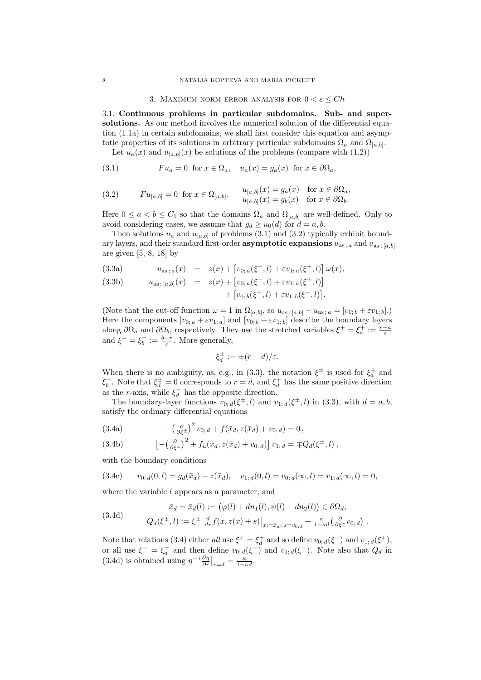#### 3. MAXIMUM NORM ERROR ANALYSIS FOR  $0 < \varepsilon \leq Ch$

3.1. **Continuous problems in particular subdomains. Sub- and supersolutions.** As our method involves the numerical solution of the differential equation (1.1a) in certain subdomains, we shall first consider this equation and asymptotic properties of its solutions in arbitrary particular subdomains  $\Omega_a$  and  $\Omega_{[a,b]}$ .

Let  $u_a(x)$  and  $u_{[a,b]}(x)$  be solutions of the problems (compare with  $(1.2)$ )

(3.1) 
$$
Fu_a = 0 \text{ for } x \in \Omega_a, \quad u_a(x) = g_a(x) \text{ for } x \in \partial\Omega_a,
$$

(3.2) 
$$
Fu_{[a,b]} = 0 \text{ for } x \in \Omega_{[a,b]}, \quad u_{[a,b]}(x) = g_a(x) \text{ for } x \in \partial\Omega_a,
$$

$$
u_{[a,b]}(x) = g_b(x) \text{ for } x \in \partial\Omega_b.
$$

Here  $0 \le a < b \le C_1$  so that the domains  $\Omega_a$  and  $\Omega_{[a,b]}$  are well-defined. Only to avoid considering cases, we assume that  $g_d \geq u_0(d)$  for  $d = a, b$ .

Then solutions  $u_a$  and  $u_{[a,b]}$  of problems (3.1) and (3.2) typically exhibit boundary layers, and their standard first-order **asymptotic expansions**  $u_{as; a}$  and  $u_{as; [a,b]}$ are given  $[5, 8, 18]$  by

(3.3a) 
$$
u_{\text{as };a}(x) = z(x) + [v_{0,a}(\xi^+, l) + \varepsilon v_{1,a}(\xi^+, l)] \omega(x),
$$

(3.3b) 
$$
u_{\text{as};[a,b]}(x) = z(x) + [v_{0;\,a}(\xi^+,l) + \varepsilon v_{1;\,a}(\xi^+,l)] + [v_{0;\,b}(\xi^-,l) + \varepsilon v_{1;\,b}(\xi^-,l)].
$$

(Note that the cut-off function  $\omega = 1$  in  $\Omega_{[a,b]}$ , so  $u_{\text{as};[a,b]} - u_{\text{as};a} = [v_{0;b} + \varepsilon v_{1;b}]$ .) Here the components  $[v_{0,a} + \varepsilon v_{1,a}]$  and  $[v_{0,b} + \varepsilon v_{1,b}]$  describe the boundary layers along  $\partial\Omega_a$  and  $\partial\Omega_b$ , respectively. They use the stretched variables  $\xi^+ = \xi_a^+ := \frac{r-a}{\varepsilon}$ and  $\xi^- = \xi_b^- := \frac{b-r}{\varepsilon}$ . More generally,

$$
\xi_d^{\pm} := \pm (r - d)/\varepsilon.
$$

When there is no ambiguity, as, e.g., in (3.3), the notation  $\xi^{\pm}$  is used for  $\xi_a^+$  and *ξ*<sub>*b*</sub></sub>. Note that  $ξ_d^{\pm} = 0$  corresponds to  $r = d$ , and  $ξ_d^{\pm}$  has the same positive direction as the *r*-axis, while  $\xi_d^-$  has the opposite direction.

The boundary-layer functions  $v_{0; d}(\xi^{\pm}, l)$  and  $v_{1; d}(\xi^{\pm}, l)$  in (3.3), with  $d = a, b$ , satisfy the ordinary differential equations

(3.4a) 
$$
-(\frac{\partial}{\partial \xi^{\pm}})^2 v_{0; d} + f(\bar{x}_d, z(\bar{x}_d) + v_{0; d}) = 0,
$$

(3.4b) 
$$
\left[ -\left(\frac{\partial}{\partial \xi^{\pm}}\right)^{2} + f_{u}(\bar{x}_{d}, z(\bar{x}_{d}) + v_{0; d}) \right] v_{1; d} = \mp Q_{d}(\xi^{\pm}, l) ,
$$

with the boundary conditions

$$
(3.4c) \t v_{0; d}(0, l) = g_d(\bar{x}_d) - z(\bar{x}_d), \t v_{1; d}(0, l) = v_{0; d}(\infty, l) = v_{1; d}(\infty, l) = 0,
$$

where the variable *l* appears as a parameter, and

(3.4d)  

$$
\bar{x}_d = \bar{x}_d(l) := (\varphi(l) + dn_1(l), \psi(l) + dn_2(l)) \in \partial\Omega_d,
$$

$$
Q_d(\xi^{\pm}, l) := \xi^{\pm} \frac{d}{dr} f(x, z(x) + s)|_{x := \bar{x}_d; s = v_{0;d}} + \frac{\kappa}{1 - \kappa d} \left(\frac{\partial}{\partial \xi^{\pm}} v_{0; d}\right).
$$

Note that relations (3.4) either *all* use  $\xi^+ = \xi_d^+$  and so define  $v_{0; d}(\xi^+)$  and  $v_{1; d}(\xi^+)$ , *d* and *d* is *d* in the define *v*<sub>0</sub>; *d*(*ξ*<sup>−</sup>) and *v*<sub>1</sub>; *d*(*ξ*<sup>−</sup>). Note also that *Q<sub>d</sub>* in  $dS$  in  $dS$  in  $(3.4d)$  is obtained using  $\eta^{-1} \frac{\partial \eta}{\partial r} \big|_{r=d} = \frac{\kappa}{1-\kappa d}$ .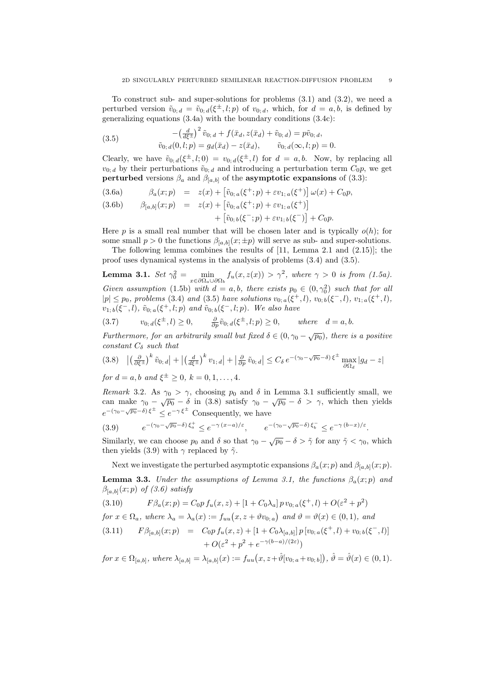To construct sub- and super-solutions for problems (3.1) and (3.2), we need a perturbed version  $\tilde{v}_{0; d} = \tilde{v}_{0; d}(\xi^{\pm}, l; p)$  of  $v_{0; d}$ , which, for  $d = a, b$ , is defined by generalizing equations (3.4a) with the boundary conditions (3.4c):

(3.5) 
$$
- \left(\frac{d}{d\xi^{\pm}}\right)^2 \tilde{v}_{0;\,d} + f(\bar{x}_d, z(\bar{x}_d) + \tilde{v}_{0;\,d}) = p\tilde{v}_{0;\,d},
$$

$$
\tilde{v}_{0;\,d}(0,l;p) = g_d(\bar{x}_d) - z(\bar{x}_d), \qquad \tilde{v}_{0;\,d}(\infty,l;p) = 0.
$$

Clearly, we have  $\tilde{v}_{0; d}(\xi^{\pm}, l; 0) = v_{0; d}(\xi^{\pm}, l)$  for  $d = a, b$ . Now, by replacing all  $v_{0; d}$  by their perturbations  $\tilde{v}_{0; d}$  and introducing a perturbation term  $C_0 p$ , we get **perturbed** versions  $\beta_a$  and  $\beta_{[a,b]}$  of the **asymptotic expansions** of (3.3):

(3.6a) 
$$
\beta_a(x;p) = z(x) + \left[\tilde{v}_{0;\,a}(\xi^+;p) + \varepsilon v_{1;\,a}(\xi^+)\right]\omega(x) + C_0p,
$$

(3.6b) 
$$
\beta_{[a,b]}(x;p) = z(x) + [\tilde{v}_{0;\,a}(\xi^+;p) + \varepsilon v_{1;\,a}(\xi^+)] + [\tilde{v}_{0;\,b}(\xi^-;p) + \varepsilon v_{1;\,b}(\xi^-)] + C_0 p.
$$

Here  $p$  is a small real number that will be chosen later and is typically  $o(h)$ ; for some small  $p > 0$  the functions  $\beta_{[a,b]}(x; \pm p)$  will serve as sub- and super-solutions.

The following lemma combines the results of [11, Lemma 2.1 and (2.15)]; the proof uses dynamical systems in the analysis of problems (3.4) and (3.5).

**Lemma 3.1.**  $Set \gamma_0^2 = \min_{x \in \partial \Omega_a \cup \partial \Omega_b} f_u(x, z(x)) > \gamma^2$ , where  $\gamma > 0$  is from (1.5a). *Given assumption* (1.5b) *with*  $d = a, b$ *, there exists*  $p_0 \in (0, \gamma_0^2)$  *such that for all*  $|p| \leq p_0$ , problems (3.4) and (3.5) have solutions  $v_{0; a}(\xi^+, l)$ ,  $v_{0; b}(\xi^-, l)$ ,  $v_{1; a}(\xi^+, l)$ ,  $v_{1; b}(\xi^-, l)$ *,*  $\tilde{v}_{0; a}(\xi^+, l; p)$  *and*  $\tilde{v}_{0; b}(\xi^-, l; p)$ *. We also have* 

(3.7) 
$$
v_{0; d}(\xi^{\pm}, l) \ge 0, \qquad \frac{\partial}{\partial p} \tilde{v}_{0; d}(\xi^{\pm}, l; p) \ge 0, \qquad \text{where} \quad d = a, b.
$$

*Furthermore, for an arbitrarily small but fixed*  $\delta \in (0, \gamma_0 - \sqrt{p_0})$ , there is a positive *constant C<sup>δ</sup> such that*

$$
(3.8) \quad \left| \left( \frac{\partial}{\partial \xi^{\pm}} \right)^{k} \tilde{v}_{0;\,d} \right| + \left| \left( \frac{d}{d\xi^{\pm}} \right)^{k} v_{1;\,d} \right| + \left| \frac{\partial}{\partial p} \tilde{v}_{0;\,d} \right| \leq C_{\delta} \, e^{-\left( \gamma_{0} - \sqrt{p_{0}} - \delta \right) \xi^{\pm}} \max_{\partial \Omega_{d}} |g_{d} - z|
$$

*for*  $d = a, b$  *and*  $\xi^{\pm} \ge 0$ ,  $k = 0, 1, ..., 4$ .

*Remark* 3.2*.* As  $\gamma_0 > \gamma$ , choosing  $p_0$  and  $\delta$  in Lemma 3.1 sufficiently small, we can make  $\gamma_0 - \sqrt{p_0} - \delta$  in (3.8) satisfy  $\gamma_0 - \sqrt{p_0} - \delta > \gamma$ , which then yields  $e^{-(\gamma_0 - \sqrt{p_0} - \delta) \xi^{\pm}} \leq e^{-\gamma \xi^{\pm}}$  Consequently, we have

$$
(3.9) \qquad e^{-(\gamma_0 - \sqrt{p_0} - \delta) \xi_a^+} \le e^{-\gamma (x-a)/\varepsilon}, \qquad e^{-(\gamma_0 - \sqrt{p_0} - \delta) \xi_b^-} \le e^{-\gamma (b-x)/\varepsilon}.
$$

Similarly, we can choose  $p_0$  and  $\delta$  so that  $\gamma_0 - \sqrt{p_0} - \delta > \tilde{\gamma}$  for any  $\tilde{\gamma} < \gamma_0$ , which then yields (3.9) with  $\gamma$  replaced by  $\tilde{\gamma}$ .

Next we investigate the perturbed asymptotic expansions  $\beta_a(x; p)$  and  $\beta_{[a,b]}(x; p)$ .

**Lemma 3.3.** *Under the assumptions of Lemma 3.1, the functions*  $\beta_a(x; p)$  *and*  $\beta_{[a,b]}(x;p)$  *of* (3.6) satisfy

(3.10) 
$$
F\beta_a(x;p) = C_0 p f_u(x,z) + [1 + C_0 \lambda_a] p v_{0,a}(\xi^+,l) + O(\varepsilon^2 + p^2)
$$

for  $x \in \Omega_a$ , where  $\lambda_a = \lambda_a(x) := f_{uu}(x, z + \vartheta v_{0,a})$  and  $\vartheta = \vartheta(x) \in (0,1)$ , and

(3.11) 
$$
F\beta_{[a,b]}(x;p) = C_0 p f_u(x,z) + [1 + C_0 \lambda_{[a,b]}] p [v_{0;\,a}(\xi^+,l) + v_{0;\,b}(\xi^-,l)] + O(\varepsilon^2 + p^2 + e^{-\gamma(b-a)/(2\varepsilon)})
$$

$$
for x \in \Omega_{[a,b]}, where \lambda_{[a,b]} = \lambda_{[a,b]}(x) := f_{uu}(x, z + \hat{\vartheta}[v_{0;a} + v_{0;b}]), \hat{\vartheta} = \hat{\vartheta}(x) \in (0,1).
$$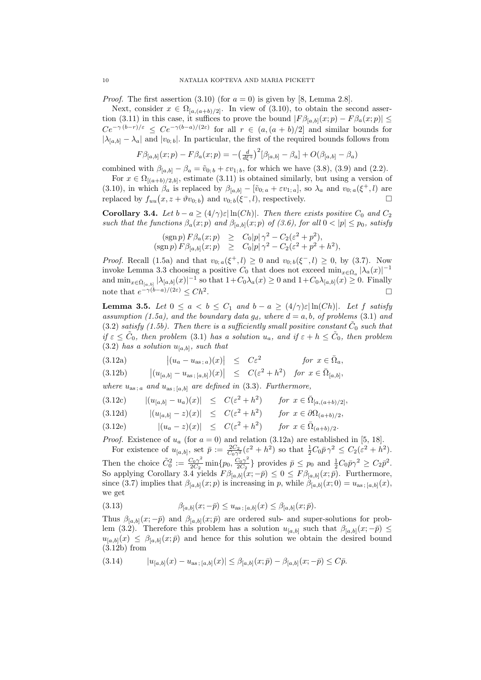*Proof.* The first assertion  $(3.10)$  (for  $a = 0$ ) is given by [8, Lemma 2.8].

Next, consider  $x \in \Omega_{[a,(a+b)/2]}$ . In view of (3.10), to obtain the second assertion (3.11) in this case, it suffices to prove the bound  $|F\beta_{[a,b]}(x;p) - F\beta_a(x;p)| \leq$  $Ce^{-\gamma (b-r)/\varepsilon} \le Ce^{-\gamma (b-a)/(2\varepsilon)}$  for all  $r \in (a,(a+b)/2]$  and similar bounds for  $|\lambda_{[a,b]} - \lambda_a|$  and  $|v_{0,b}|$ . In particular, the first of the required bounds follows from

$$
F\beta_{[a,b]}(x;p) - F\beta_a(x;p) = -\left(\frac{d}{d\xi^+}\right)^2[\beta_{[a,b]} - \beta_a] + O(\beta_{[a,b]} - \beta_a)
$$

combined with  $\beta_{[a,b]} - \beta_a = \tilde{v}_{0;b} + \varepsilon v_{1;b}$ , for which we have (3.8), (3.9) and (2.2).

For  $x \in \Omega_{[(a+b)/2,b]}$ , estimate (3.11) is obtained similarly, but using a version of (3.10), in which  $\beta_a$  is replaced by  $\beta_{[a,b]} - [\tilde{v}_{0,a} + \varepsilon v_{1,a}]$ , so  $\lambda_a$  and  $v_{0,a}(\xi^+,l)$  are replaced by  $f_{uu}(x, z + \vartheta v_{0, b})$  and  $v_{0, b}(\xi^-, l)$ , respectively.

**Corollary 3.4.** *Let*  $b - a \geq (4/\gamma)\varepsilon |\ln(Ch)|$ *. Then there exists positive*  $C_0$  *and*  $C_2$ *such that the functions*  $\beta_a(x; p)$  *and*  $\beta_{[a,b]}(x; p)$  *of* (3.6), for all  $0 < |p| \leq p_0$ , satisfy

$$
(\operatorname{sgn} p) F \beta_a(x; p) \geq C_0 |p| \gamma^2 - C_2(\varepsilon^2 + p^2),
$$
  
\n
$$
(\operatorname{sgn} p) F \beta_{[a,b]}(x; p) \geq C_0 |p| \gamma^2 - C_2(\varepsilon^2 + p^2 + h^2),
$$

*Proof.* Recall (1.5a) and that  $v_{0; a}(\xi^+, l) \ge 0$  and  $v_{0; b}(\xi^-, l) \ge 0$ , by (3.7). Now invoke Lemma 3.3 choosing a positive  $C_0$  that does not exceed min<sub>*x*</sub> $\epsilon \bar{\Omega}_a |\lambda_a(x)|^{-1}$ and  $\min_{x \in \bar{\Omega}_{[a,b]}} |\lambda_{[a,b]}(x)|^{-1}$  so that  $1+C_0\lambda_a(x) \ge 0$  and  $1+C_0\lambda_{[a,b]}(x) \ge 0$ . Finally note that  $e^{-\gamma(b-a)/(2\varepsilon)} \leq Ch^2$ . <u>Подата с подата с подата с подата с по</u>

**Lemma 3.5.** *Let*  $0 \le a < b \le C_1$  *and*  $b - a \ge (4/\gamma)\varepsilon |\ln(Ch)|$ *. Let f satisfy assumption (1.5a), and the boundary data*  $g_d$ *, where*  $d = a, b$ *, of problems* (3.1) *and*  $(3.2)$  *satisfy*  $(1.5b)$ . Then there is a sufficiently small positive constant  $\tilde{C}_0$  such that  $if \varepsilon \leq \tilde{C}_0$ , then problem (3.1) has a solution  $u_a$ , and if  $\varepsilon + h \leq \tilde{C}_0$ , then problem  $(3.2)$  *has a solution*  $u_{[a,b]}$ *, such that* 

(3.12a) 
$$
\left| (u_a - u_{as,a})(x) \right| \leq C\varepsilon^2 \quad \text{for } x \in \overline{\Omega}_a,
$$

(3.12b) 
$$
|(u_{[a,b]} - u_{\text{as};[a,b]})(x)| \le C(\varepsilon^2 + h^2)
$$
 for  $x \in \bar{\Omega}_{[a,b]}$ ,

*where*  $u_{as; a}$  *and*  $u_{as; [a,b]}$  *are defined in* (3.3)*. Furthermore,* 

$$
(3.12c) \qquad |(u_{[a,b]} - u_a)(x)| \leq C(\varepsilon^2 + h^2) \qquad \text{for } x \in \bar{\Omega}_{[a,(a+b)/2]},
$$

$$
(3.12d) \qquad |(u_{[a,b]} - z)(x)| \leq C(\varepsilon^2 + h^2) \qquad \text{for } x \in \partial \Omega_{(a+b)/2},
$$

(3.12e) 
$$
|(u_a - z)(x)| \le C(\varepsilon^2 + h^2)
$$
 for  $x \in \bar{\Omega}_{(a+b)/2}$ .

*Proof.* Existence of  $u_a$  (for  $a = 0$ ) and relation (3.12a) are established in [5, 18]. For existence of  $u_{[a,b]}$ , set  $\bar{p} := \frac{2C_2}{C_0\gamma^2}(\varepsilon^2 + h^2)$  so that  $\frac{1}{2}C_0\bar{p}\gamma^2 \leq C_2(\varepsilon^2 + h^2)$ .

Then the choice  $\tilde{C}_0^2 := \frac{C_0 \gamma^2}{2C_2}$  $\frac{C_0\gamma^2}{2C_2}\min\{p_0,\frac{C_0\gamma^2}{2C_2}\}$  $\frac{C_0 \gamma^2}{2C_2}$ } provides  $\bar{p} \leq p_0$  and  $\frac{1}{2} C_0 \bar{p} \gamma^2 \geq C_2 \bar{p}^2$ . So applying Corollary 3.4 yields  $F\beta_{[a,b]}(x; -\bar{p}) \leq 0 \leq F\beta_{[a,b]}(x; \bar{p})$ . Furthermore, since (3.7) implies that  $\beta_{[a,b]}(x;p)$  is increasing in *p*, while  $\beta_{[a,b]}(x;0) = u_{as;[a,b]}(x)$ , we get

(3.13) 
$$
\beta_{[a,b]}(x; -\bar{p}) \le u_{\text{as }; [a,b]}(x) \le \beta_{[a,b]}(x; \bar{p}).
$$

Thus  $\beta_{[a,b]}(x; -\bar{p})$  and  $\beta_{[a,b]}(x; \bar{p})$  are ordered sub- and super-solutions for problem (3.2). Therefore this problem has a solution  $u_{[a,b]}$  such that  $\beta_{[a,b]}(x; -\bar{p}) \leq$  $u_{[a,b]}(x) \leq \beta_{[a,b]}(x;\bar{p})$  and hence for this solution we obtain the desired bound  $(3.12b)$  from

$$
(3.14) \t |u_{[a,b]}(x) - u_{\text{as};[a,b]}(x)| \leq \beta_{[a,b]}(x;\bar{p}) - \beta_{[a,b]}(x;-\bar{p}) \leq C\bar{p}.
$$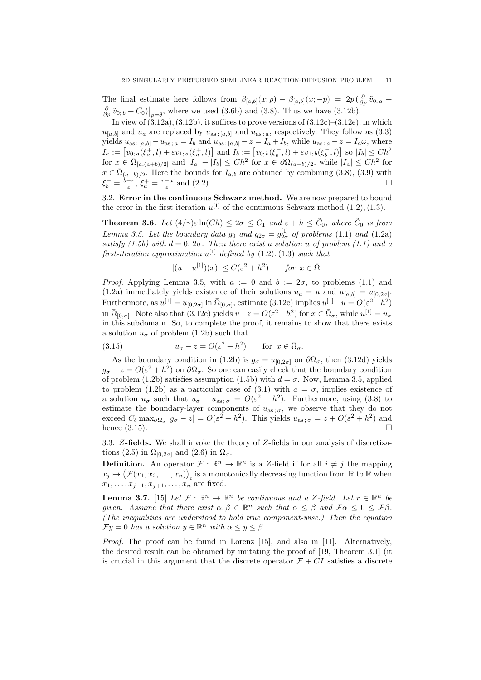The final estimate here follows from  $\beta_{[a,b]}(x;\bar{p}) - \beta_{[a,b]}(x;-\bar{p}) = 2\bar{p}(\frac{\partial}{\partial p}\tilde{v}_{0;a} + \bar{p})$  $\frac{\partial}{\partial p} \tilde{v}_{0; b} + C_0$ ) $\big|_{p=\theta}$ , where we used (3.6b) and (3.8). Thus we have (3.12b).

In view of  $(3.12a)$ ,  $(3.12b)$ , it suffices to prove versions of  $(3.12c)$ – $(3.12e)$ , in which  $u_{[a,b]}$  and  $u_a$  are replaced by  $u_{as;[a,b]}$  and  $u_{as;a}$ , respectively. They follow as (3.3) yields  $u_{as;[a,b]}-u_{as;a}=I_b$  and  $u_{as;[a,b]}-z=I_a+I_b$ , while  $u_{as;a}-z=I_a\omega$ , where  $I_a := [v_{0,a}(\xi_a^+, l) + \varepsilon v_{1,a}(\xi_a^+, l)]$  and  $I_b := [v_{0,b}(\xi_b^-, l) + \varepsilon v_{1,b}(\xi_b^-, l)]$  so  $|I_b| \leq C h^2$ for  $x \in \Omega_{[a,(a+b)/2]}$  and  $|I_a| + |I_b| \leq Ch^2$  for  $x \in \partial \Omega_{(a+b)/2}$ , while  $|I_a| \leq Ch^2$  for  $x \in \overline{\Omega}_{(a+b)/2}$ . Here the bounds for *I<sub>a,b</sub>* are obtained by combining (3.8), (3.9) with  $\xi_b^- = \frac{b-r}{\varepsilon}, \xi_a^+ = \frac{r-a}{\varepsilon}$  and (2.2).

3.2. **Error in the continuous Schwarz method.** We are now prepared to bound the error in the first iteration  $u^{[1]}$  of the continuous Schwarz method  $(1.2)$ ,  $(1.3)$ .

**Theorem 3.6.** *Let*  $(4/\gamma)\varepsilon \ln(Ch) \leq 2\sigma \leq C_1$  *and*  $\varepsilon + h \leq \tilde{C}_0$ , *where*  $\tilde{C}_0$  *is from Lemma 3.5. Let the boundary data*  $g_0$  *and*  $g_{2\sigma} = g_{2\sigma}^{[1]}$  *of problems* (1.1) *and* (1.2a) *satisfy* (1.5b) with  $d = 0$ ,  $2\sigma$ . Then there exist a solution *u* of problem (1.1) and a  $first\text{-}iteration\,\,approx\,u^{[1]}\,\,defined\,\,by\,\,(1.2), (1.3)\,\,such\,\,that$ 

$$
|(u - u^{[1]})(x)| \le C(\varepsilon^2 + h^2) \quad \text{for } x \in \overline{\Omega}.
$$

*Proof.* Applying Lemma 3.5, with  $a := 0$  and  $b := 2\sigma$ , to problems (1.1) and (1.2a) immediately yields existence of their solutions  $u_a = u$  and  $u_{[a,b]} = u_{[0,2\sigma]}$ . Furthermore, as  $u^{[1]} = u_{[0,2\sigma]}$  in  $\overline{\Omega}_{[0,\sigma]}$ , estimate (3.12c) implies  $u^{[1]} - u = O(\varepsilon^2 + h^2)$ in  $\overline{\Omega}_{[0,\sigma]}$ . Note also that (3.12e) yields  $u-z = O(\varepsilon^2 + h^2)$  for  $x \in \overline{\Omega}_{\sigma}$ , while  $u^{[1]} = u_{\sigma}$ in this subdomain. So, to complete the proof, it remains to show that there exists a solution  $u_{\sigma}$  of problem (1.2b) such that

(3.15) 
$$
u_{\sigma} - z = O(\varepsilon^2 + h^2) \quad \text{for } x \in \bar{\Omega}_{\sigma}.
$$

As the boundary condition in (1.2b) is  $g_{\sigma} = u_{[0,2\sigma]}$  on  $\partial \Omega_{\sigma}$ , then (3.12d) yields  $g_{\sigma} - z = O(\varepsilon^2 + h^2)$  on  $\partial \Omega_{\sigma}$ . So one can easily check that the boundary condition of problem (1.2b) satisfies assumption (1.5b) with  $d = \sigma$ . Now, Lemma 3.5, applied to problem (1.2b) as a particular case of (3.1) with  $a = \sigma$ , implies existence of a solution  $u_{\sigma}$  such that  $u_{\sigma} - u_{\text{as}; \sigma} = O(\varepsilon^2 + h^2)$ . Furthermore, using (3.8) to estimate the boundary-layer components of  $u_{as; \sigma}$ , we observe that they do not exceed  $C_{\delta} \max_{\partial \Omega_{\sigma}} |g_{\sigma} - z| = O(\varepsilon^2 + h^2)$ . This yields  $u_{\text{as}}; \sigma = z + O(\varepsilon^2 + h^2)$  and hence  $(3.15)$ .

3.3. *Z***-fields.** We shall invoke the theory of *Z*-fields in our analysis of discretizations (2.5) in  $\Omega_{[0,2\sigma]}$  and (2.6) in  $\Omega_{\sigma}$ .

**Definition.** An operator  $\mathcal{F}: \mathbb{R}^n \to \mathbb{R}^n$  is a *Z*-field if for all  $i \neq j$  the mapping  $x_j \mapsto (\mathcal{F}(x_1, x_2, \ldots, x_n))_i$  is a monotonically decreasing function from R to R when  $x_1, \ldots, x_{j-1}, x_{j+1}, \ldots, x_n$  are fixed.

**Lemma 3.7.** [15] *Let*  $\mathcal{F}: \mathbb{R}^n \to \mathbb{R}^n$  *be continuous and a*  $Z$ *-field. Let*  $r \in \mathbb{R}^n$  *be given.* Assume that there exist  $\alpha, \beta \in \mathbb{R}^n$  such that  $\alpha \leq \beta$  and  $\mathcal{F}\alpha \leq 0 \leq \mathcal{F}\beta$ . *(The inequalities are understood to hold true component-wise.) Then the equation*  $\mathcal{F}y = 0$  *has a solution*  $y \in \mathbb{R}^n$  *with*  $\alpha \leq y \leq \beta$ .

*Proof.* The proof can be found in Lorenz [15], and also in [11]. Alternatively, the desired result can be obtained by imitating the proof of [19, Theorem 3.1] (it is crucial in this argument that the discrete operator  $\mathcal{F} + \mathcal{C}I$  satisfies a discrete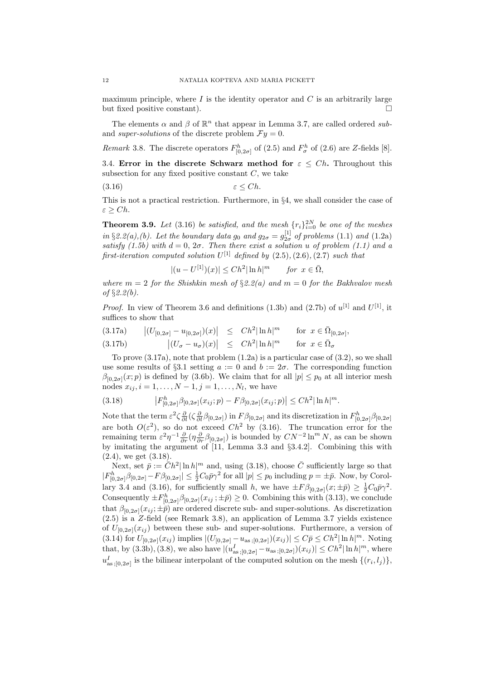maximum principle, where  $I$  is the identity operator and  $C$  is an arbitrarily large but fixed positive constant).

The elements  $\alpha$  and  $\beta$  of  $\mathbb{R}^n$  that appear in Lemma 3.7, are called ordered *sub*and *super-solutions* of the discrete problem  $\mathcal{F}y = 0$ .

*Remark* 3.8. The discrete operators  $F_{[0,2\sigma]}^h$  of (2.5) and  $F_{\sigma}^h$  of (2.6) are *Z*-fields [8].

3.4. **Error in the discrete Schwarz method for**  $\varepsilon \leq Ch$ . Throughout this subsection for any fixed positive constant *C*, we take

$$
(3.16) \t\t \varepsilon \le Ch.
$$

This is not a practical restriction. Furthermore, in *§*4, we shall consider the case of *ε ≥ Ch*.

**Theorem 3.9.** *Let* (3.16) *be satisfied, and the mesh*  $\{r_i\}_{i=0}^{2N}$  *be one of the meshes in* §2.2(a),(b). Let the boundary data  $g_0$  and  $g_{2\sigma} = g_{2\sigma}^{[1]}$  of problems (1.1) and (1.2a) *satisfy* (1.5b) with  $d = 0$ ,  $2\sigma$ . Then there exist a solution u of problem (1.1) and a *first-iteration computed solution*  $U^{[1]}$  *defined by*  $(2.5)$ *,* $(2.6)$ *,* $(2.7)$  *such that* 

> $|(u - U^{[1]})(x)| \leq Ch^2 |\ln h|$ *for*  $x \in \overline{\Omega}$ *,*

*where*  $m = 2$  *for the Shishkin mesh of*  $\S 2.2(a)$  *and*  $m = 0$  *for the Bakhvalov mesh of §2.2(b).*

*Proof.* In view of Theorem 3.6 and definitions (1.3b) and (2.7b) of  $u^{[1]}$  and  $U^{[1]}$ , it suffices to show that

$$
(3.17a) \qquad \left| (U_{[0,2\sigma]} - u_{[0,2\sigma]})(x) \right| \leq C h^2 |\ln h|^m \qquad \text{for } x \in \bar{\Omega}_{[0,2\sigma]},
$$

(3.17b) 
$$
\left| (U_{\sigma} - u_{\sigma})(x) \right| \leq Ch^2 |\ln h|^m \quad \text{for } x \in \overline{\Omega}_{\sigma}
$$

To prove (3.17a), note that problem (1.2a) is a particular case of (3.2), so we shall use some results of §3.1 setting  $a := 0$  and  $b := 2\sigma$ . The corresponding function  $\beta_{[0,2\sigma]}(x;p)$  is defined by (3.6b). We claim that for all  $|p| \leq p_0$  at all interior mesh nodes  $x_{ij}$ ,  $i = 1, ..., N - 1$ ,  $j = 1, ..., N_l$ , we have

$$
(3.18) \t\t\t |F_{[0,2\sigma]}^h \beta_{[0,2\sigma]}(x_{ij};p) - F\beta_{[0,2\sigma]}(x_{ij};p)| \leq Ch^2 |\ln h|^m.
$$

Note that the term  $\varepsilon^2 \zeta \frac{\partial}{\partial l} (\zeta \frac{\partial}{\partial l} \beta_{[0,2\sigma]})$  in  $F \beta_{[0,2\sigma]}$  and its discretization in  $F^h_{[0,2\sigma]} \beta_{[0,2\sigma]}$ are both  $O(\varepsilon^2)$ , so do not exceed  $Ch^2$  by (3.16). The truncation error for the remaining term  $\varepsilon^2 \eta^{-1} \frac{\partial}{\partial r} (\eta \frac{\partial}{\partial r} \beta_{[0,2\sigma]})$  is bounded by  $CN^{-2} \ln^m N$ , as can be shown by imitating the argument of [11, Lemma 3.3 and *§*3.4.2]. Combining this with  $(2.4)$ , we get  $(3.18)$ .

Next, set  $\bar{p} := \bar{C}h^2 |\ln h|^m$  and, using (3.18), choose  $\bar{C}$  sufficiently large so that  $|F_{[0,2\sigma]}^h \beta_{[0,2\sigma]} - F \beta_{[0,2\sigma]}| \leq \frac{1}{2} C_0 \bar{p} \gamma^2$  for all  $|p| \leq p_0$  including  $p = \pm \bar{p}$ . Now, by Corollary 3.4 and (3.16), for sufficiently small *h*, we have  $\pm F \beta_{[0,2\sigma]}(x;\pm \bar{p}) \geq \frac{1}{2} C_0 \bar{p} \gamma^2$ . Consequently  $\pm F_{[0,2\sigma]}^h \beta_{[0,2\sigma]}(x_{ij}; \pm \bar{p}) \geq 0$ . Combining this with (3.13), we conclude that  $\beta_{[0,2\sigma]}(x_{ij};\pm\bar{p})$  are ordered discrete sub- and super-solutions. As discretization (2.5) is a *Z*-field (see Remark 3.8), an application of Lemma 3.7 yields existence of  $U_{[0,2\sigma]}(x_{ij})$  between these sub- and super-solutions. Furthermore, a version of (3.14) for  $U_{[0,2\sigma]}(x_{ij})$  implies  $|(U_{[0,2\sigma]} - u_{\text{as}};_{[0,2\sigma]})(x_{ij})| \leq C\bar{p} \leq Ch^2 |\ln h|^m$ . Noting that, by (3.3b), (3.8), we also have  $|(u_{as;[0,2\sigma]}^I - u_{as;[0,2\sigma]})(x_{ij})| \leq Ch^2 |\ln h|^m$ , where  $u^I_{as,[0,2\sigma]}$  is the bilinear interpolant of the computed solution on the mesh  $\{(r_i, l_j)\},$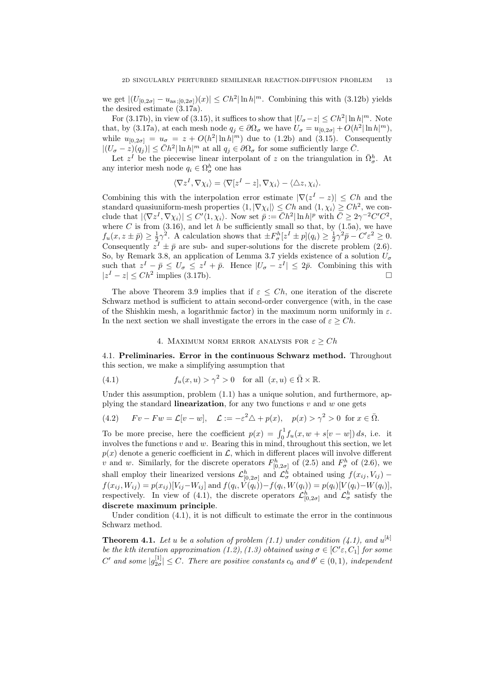we get  $|(U_{[0,2\sigma]} - u_{\text{as}};[0,2\sigma])(x)| \leq Ch^2 |\ln h|^m$ . Combining this with (3.12b) yields the desired estimate (3.17a).

For (3.17b), in view of (3.15), it suffices to show that  $|U_{\sigma} - z| \leq Ch^2 |\ln h|^m$ . Note that, by (3.17a), at each mesh node  $q_j \in \partial\Omega_{\sigma}$  we have  $U_{\sigma} = u_{[0,2\sigma]} + O(h^2 |\ln h|^m)$ , while  $u_{[0,2\sigma]} = u_{\sigma} = z + O(h^2 |\ln h|^m)$  due to (1.2b) and (3.15). Consequently  $|(U_{\sigma} - z)(q_j)| \leq \bar{C}h^2 |\ln h|^m$  at all  $q_j \in \partial \Omega_{\sigma}$  for some sufficiently large  $\bar{C}$ .

Let  $z^I$  be the piecewise linear interpolant of *z* on the triangulation in  $\bar{\Omega}_{\sigma}^h$ . At any interior mesh node  $q_i \in \Omega^h_\sigma$  one has

$$
\langle \nabla z^I, \nabla \chi_i \rangle = \langle \nabla [z^I - z], \nabla \chi_i \rangle - \langle \triangle z, \chi_i \rangle.
$$

Combining this with the interpolation error estimate  $|\nabla (z^I - z)| \leq Ch$  and the standard quasiuniform-mesh properties  $\langle 1, |\nabla \chi_i| \rangle \leq Ch$  and  $\langle 1, \chi_i \rangle \geq Ch^2$ , we conclude that  $|\langle \nabla z^I, \nabla \chi_i \rangle| \leq C' \langle 1, \chi_i \rangle$ . Now set  $\overline{p} := \overline{C}h^2 |\ln h|^p$  with  $\overline{C} \geq 2\gamma^{-2}C'C^2$ , where  $C$  is from  $(3.16)$ , and let  $h$  be sufficiently small so that, by  $(1.5a)$ , we have  $f_u(x, z \pm \bar{p}) \geq \frac{1}{2}\gamma^2$ . A calculation shows that  $\pm F^h_{\sigma}[z^I \pm p](q_i) \geq \frac{1}{2}\gamma^2\bar{p} - C'\epsilon^2 \geq 0$ . Consequently  $z^I \pm \bar{p}$  are sub- and super-solutions for the discrete problem (2.6). So, by Remark 3.8, an application of Lemma 3.7 yields existence of a solution  $U_{\sigma}$ such that  $z^I - \bar{p} \le U_{\sigma} \le z^I + \bar{p}$ . Hence  $|U_{\sigma} - z^I| \le 2\bar{p}$ . Combining this with *|z <sup>I</sup> − z| ≤ Ch*<sup>2</sup> implies (3.17b).

The above Theorem 3.9 implies that if  $\varepsilon \leq Ch$ , one iteration of the discrete Schwarz method is sufficient to attain second-order convergence (with, in the case of the Shishkin mesh, a logarithmic factor) in the maximum norm uniformly in *ε*. In the next section we shall investigate the errors in the case of  $\varepsilon \geq Ch$ .

# 4. MAXIMUM NORM ERROR ANALYSIS FOR  $\varepsilon \geq Ch$

4.1. **Preliminaries. Error in the continuous Schwarz method.** Throughout this section, we make a simplifying assumption that

(4.1) 
$$
f_u(x, u) > \gamma^2 > 0 \text{ for all } (x, u) \in \overline{\Omega} \times \mathbb{R}.
$$

Under this assumption, problem  $(1.1)$  has a unique solution, and furthermore, applying the standard **linearization**, for any two functions  $v$  and  $w$  one gets

(4.2) 
$$
Fv - Fw = \mathcal{L}[v - w], \quad \mathcal{L} := -\varepsilon^2 \triangle + p(x), \quad p(x) > \gamma^2 > 0 \text{ for } x \in \overline{\Omega}.
$$

To be more precise, here the coefficient  $p(x) = \int_0^1 f_u(x, w + s[v - w]) ds$ , i.e. it involves the functions *v* and *w*. Bearing this in mind, throughout this section, we let  $p(x)$  denote a generic coefficient in  $\mathcal{L}$ , which in different places will involve different *v* and *w*. Similarly, for the discrete operators  $F_{[0,2\sigma]}^h$  of (2.5) and  $F_{\sigma}^h$  of (2.6), we shall employ their linearized versions  $\mathcal{L}^h_{[0,2\sigma]}$  and  $\mathcal{L}^h_{\sigma}$  obtained using  $f(x_{ij}, V_{ij})$  –  $f(x_{ij}, W_{ij}) = p(x_{ij})[V_{ij} - W_{ij}]$  and  $f(q_i, V(q_i)) - f(q_i, W(q_i)) = p(q_i)[V(q_i) - W(q_i)],$ respectively. In view of (4.1), the discrete operators  $\mathcal{L}_{[0,2\sigma]}^h$  and  $\mathcal{L}_{\sigma}^h$  satisfy the **discrete maximum principle**.

Under condition (4.1), it is not difficult to estimate the error in the continuous Schwarz method.

**Theorem 4.1.** Let *u* be a solution of problem (1.1) under condition (4.1), and  $u^{[k]}$ *be the kth iteration approximation*  $(1.2)$ ,  $(1.3)$  *obtained using*  $\sigma \in [C/\varepsilon, C_1]$  *for some*  $C'$  *and some*  $|g_{2\sigma}^{[1]}| \leq C$ *. There are positive constants*  $c_0$  *and*  $\theta' \in (0,1)$ *, independent*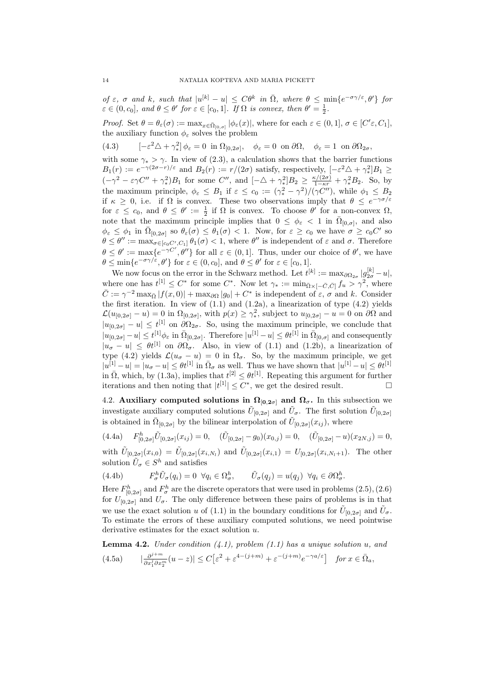of  $\varepsilon$ ,  $\sigma$  and k, such that  $|u^{[k]} - u| \leq C\theta^k$  in  $\overline{\Omega}$ , where  $\theta \leq \min\{e^{-\sigma\gamma/\varepsilon}, \theta'\}$  for  $\varepsilon \in (0, c_0]$ , and  $\theta \leq \theta'$  for  $\varepsilon \in [c_0, 1]$ . If  $\Omega$  is convex, then  $\theta' = \frac{1}{2}$ .

*Proof.* Set  $\theta = \theta_{\varepsilon}(\sigma) := \max_{x \in \bar{\Omega}_{[0,\sigma]}} |\phi_{\varepsilon}(x)|$ , where for each  $\varepsilon \in (0,1], \sigma \in [C' \varepsilon, C_1]$ , the auxiliary function  $\phi_{\varepsilon}$  solves the problem

(4.3)  $\left[-\varepsilon^2 \triangle + \gamma_*^2\right]$  $\mathcal{P}^2 \triangle + \gamma_*^2 \phi_\varepsilon = 0$  in  $\Omega_{[0,2\sigma]}, \quad \phi_\varepsilon = 0$  on  $\partial \Omega, \quad \phi_\varepsilon = 1$  on  $\partial \Omega_{2\sigma},$ 

with some  $\gamma_* > \gamma$ . In view of (2.3), a calculation shows that the barrier functions  $B_1(r) := e^{-\gamma(2\sigma - r)/\varepsilon}$  and  $B_2(r) := r/(2\sigma)$  satisfy, respectively,  $[-\varepsilon^2 \Delta + \gamma_*^2]$ *∗* ]*B*<sup>1</sup> *≥*  $(-\gamma^2 - \varepsilon \gamma C'' + \gamma_*^2)$  $^{2}_{*}$ )*B*<sub>1</sub> for some *C*<sup>*′′*</sup>, and [−△ +  $\gamma_*^2$  $\frac{\kappa}{2}B_2 \geq \frac{\kappa/(2\sigma)}{1-\kappa r} + \gamma_*^2 B_2$ . So, by the maximum principle,  $\phi_{\varepsilon} \leq B_1$  if  $\varepsilon \leq c_0 := (\gamma_*^2 - \gamma^2)/(\gamma C'')$ , while  $\phi_1 \leq B_2$ if  $\kappa \geq 0$ , i.e. if  $\Omega$  is convex. These two observations imply that  $\theta \leq e^{-\gamma \sigma/\varepsilon}$ for  $\varepsilon \leq c_0$ , and  $\theta \leq \theta' := \frac{1}{2}$  if  $\Omega$  is convex. To choose  $\theta'$  for a non-convex  $\Omega$ , note that the maximum principle implies that  $0 \leq \phi_{\varepsilon} < 1$  in  $\overline{\Omega}_{[0,\sigma]}$ , and also  $\phi_{\varepsilon} \leq \phi_1$  in  $\overline{\Omega}_{[0,2\sigma]}$  so  $\theta_{\varepsilon}(\sigma) \leq \theta_1(\sigma) < 1$ . Now, for  $\varepsilon \geq c_0$  we have  $\sigma \geq c_0 C'$  so  $\theta \leq \theta'' := \max_{\sigma \in [c_0, C', C_1]} \theta_1(\sigma) < 1$ , where  $\theta''$  is independent of  $\varepsilon$  and  $\sigma$ . Therefore  $\theta \leq \theta' := \max\{e^{-\gamma C'}, \theta''\}$  for all  $\varepsilon \in (0, 1]$ . Thus, under our choice of  $\theta'$ , we have  $\theta \le \min\{e^{-\sigma \gamma/\varepsilon}, \theta'\}$  for  $\varepsilon \in (0, c_0]$ , and  $\theta \le \theta'$  for  $\varepsilon \in [c_0, 1]$ .

We now focus on the error in the Schwarz method. Let  $t^{[k]} := \max_{\partial \Omega_{2\sigma}} |g_{2\sigma}^{[k]} - u|$ , where one has  $t^{[1]} \leq C^*$  for some  $C^*$ . Now let  $\gamma_* := \min_{\overline{\Omega} \times [-\overline{C}, \overline{C}]} f_u > \gamma^2$ , where  $\overline{C} := \gamma^{-2} \max_{\overline{\Omega}} |f(x,0)| + \max_{\partial \Omega} |g_0| + C^*$  is independent of  $\varepsilon$ ,  $\sigma$  and *k*. Consider the first iteration. In view of  $(1.1)$  and  $(1.2a)$ , a linearization of type  $(4.2)$  yields  $\mathcal{L}(u_{[0,2\sigma]} - u) = 0$  in  $\Omega_{[0,2\sigma]}$ , with  $p(x) \geq \gamma_*^2$ *∗* , subject to *u*[0*,*2*σ*] *− u* = 0 on *∂*Ω and  $|u_{[0,2\sigma]} - u| \leq t^{[1]}$  on  $\partial\Omega_{2\sigma}$ . So, using the maximum principle, we conclude that  $|u_{[0,2\sigma]}-u|\leq t^{[1]}\phi_{\varepsilon}$  in  $\bar{\Omega}_{[0,2\sigma]}$ . Therefore  $|u^{[1]}-u|\leq \theta t^{[1]}$  in  $\bar{\Omega}_{[0,\sigma]}$  and consequently  $|u_{\sigma} - u| \leq \theta t^{[1]}$  on  $\partial \Omega_{\sigma}$ . Also, in view of (1.1) and (1.2b), a linearization of type (4.2) yields  $\mathcal{L}(u_{\sigma} - u) = 0$  in  $\Omega_{\sigma}$ . So, by the maximum principle, we get  $|u^{[1]} - u| = |u_{\sigma} - u| \leq \theta t^{[1]}$  in  $\overline{\Omega}_{\sigma}$  as well. Thus we have shown that  $|u^{[1]} - u| \leq \theta t^{[1]}$ in  $\bar{\Omega}$ , which, by (1.3a), implies that  $t^{[2]} \leq \theta t^{[1]}$ . Repeating this argument for further iterations and then noting that  $|t^{[1]}| \leq C^*$ , we get the desired result.

4.2. **Auxiliary computed solutions in**  $\Omega_{[0,2\sigma]}$  **and**  $\Omega_{\sigma}$ **.** In this subsection we investigate auxiliary computed solutions  $\tilde{U}_{[0,2\sigma]}$  and  $\tilde{U}_{\sigma}$ . The first solution  $\tilde{U}_{[0,2\sigma]}$ is obtained in  $\overline{\Omega}_{[0,2\sigma]}$  by the bilinear interpolation of  $\tilde{U}_{[0,2\sigma]}(x_{ij})$ , where

 $(4.4a)$  $\tilde{U}_{[0,2\sigma]}^h \tilde{U}_{[0,2\sigma]}(x_{ij}) = 0, \quad (\tilde{U}_{[0,2\sigma]} - g_0)(x_{0,j}) = 0, \quad (\tilde{U}_{[0,2\sigma]} - u)(x_{2N,j}) = 0,$ with  $\tilde{U}_{[0,2\sigma]}(x_{i,0}) = \tilde{U}_{[0,2\sigma]}(x_{i,N_l})$  and  $\tilde{U}_{[0,2\sigma]}(x_{i,1}) = U_{[0,2\sigma]}(x_{i,N_l+1})$ . The other solution  $\tilde{U}_{\sigma} \in S^h$  and satisfies

(4.4b) 
$$
F_{\sigma}^{h} \tilde{U}_{\sigma}(q_i) = 0 \ \forall q_i \in \Omega_{\sigma}^{h}, \qquad \tilde{U}_{\sigma}(q_j) = u(q_j) \ \forall q_i \in \partial \Omega_{\sigma}^{h}.
$$

Here  $F_{[0,2\sigma]}^h$  and  $F_{\sigma}^h$  are the discrete operators that were used in problems (2.5), (2.6) for  $U_{[0,2\sigma]}$  and  $U_{\sigma}$ . The only difference between these pairs of problems is in that we use the exact solution *u* of (1.1) in the boundary conditions for  $\tilde{U}_{[0,2\sigma]}$  and  $\tilde{U}_{\sigma}$ . To estimate the errors of these auxiliary computed solutions, we need pointwise derivative estimates for the exact solution *u*.

**Lemma 4.2.** *Under condition (4.1), problem (1.1) has a unique solution u, and*

(4.5a) 
$$
|\frac{\partial^{j+m}}{\partial x_1^j \partial x_2^m}(u-z)| \le C \left[\varepsilon^2 + \varepsilon^{4-(j+m)} + \varepsilon^{-(j+m)} e^{-\gamma a/\varepsilon}\right] \quad \text{for } x \in \overline{\Omega}_a,
$$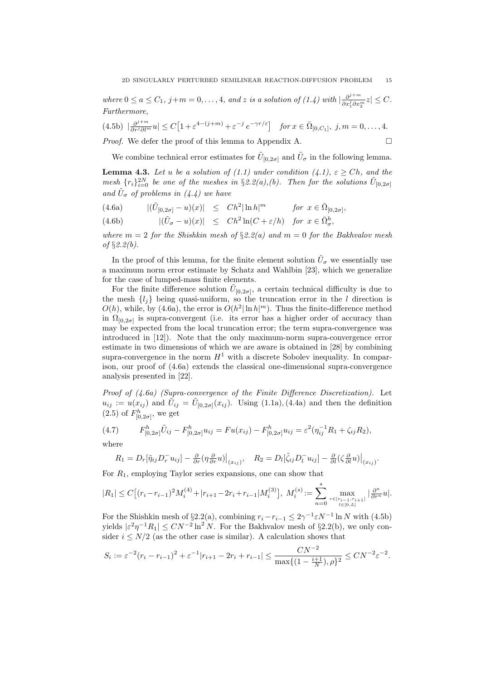*where*  $0 \le a \le C_1$ ,  $j+m=0,\ldots,4$ , and *z is a solution of*  $(1.4)$  with  $\frac{\partial^{j+m}}{\partial x^j \partial x^j}$  $\frac{\partial^j}{\partial x_1^j \partial x_2^m} z \leq C$ . *Furthermore,*

(4.5b)  $\left|\frac{\partial^{j+m}}{\partial r^j \partial l^m}u\right| \le C\left[1+\varepsilon^{4-(j+m)}+\varepsilon^{-j}e^{-\gamma r/\varepsilon}\right]$  for  $x \in \bar{\Omega}_{[0,C_1]}, j, m = 0, \ldots, 4$ .

*Proof.* We defer the proof of this lemma to Appendix A. □

We combine technical error estimates for  $\tilde{U}_{[0,2\sigma]}$  and  $\tilde{U}_{\sigma}$  in the following lemma.

**Lemma 4.3.** *Let u be a solution of (1.1) under condition (4.1),*  $\varepsilon \geq Ch$ *, and the mesh*  $\{r_i\}_{i=0}^{2N}$  *be one of the meshes in*  $\S 2.2(a)$ , (*b*). Then for the solutions  $\tilde{U}_{[0,2\sigma]}$ and  $\tilde{U}_{\sigma}$  of problems in (4.4) we have

- $|(4.6a)$   $|(\tilde{U}_{[0,2\sigma]} u)(x)| \leq Ch^2 |\ln h|^m$  *for*  $x \in \bar{\Omega}_{[0,2\sigma]},$
- (4.6b)  $|(\tilde{U}_{\sigma} u)(x)| \leq Ch^2 \ln(C + \varepsilon/h) \text{ for } x \in \bar{\Omega}_{\sigma}^h,$

*where*  $m = 2$  *for the Shishkin mesh of*  $\S2.2(a)$  *and*  $m = 0$  *for the Bakhvalov mesh of §2.2(b).*

In the proof of this lemma, for the finite element solution  $\tilde{U}_{\sigma}$  we essentially use a maximum norm error estimate by Schatz and Wahlbin [23], which we generalize for the case of lumped-mass finite elements.

For the finite difference solution  $\tilde{U}_{[0,2\sigma]}$ , a certain technical difficulty is due to the mesh  $\{l_j\}$  being quasi-uniform, so the truncation error in the *l* direction is  $O(h)$ , while, by (4.6a), the error is  $O(h^2|\ln h|^m)$ . Thus the finite-difference method in  $\Omega_{[0,2\sigma]}$  is supra-convergent (i.e. its error has a higher order of accuracy than may be expected from the local truncation error; the term supra-convergence was introduced in [12]). Note that the only maximum-norm supra-convergence error estimate in two dimensions of which we are aware is obtained in [28] by combining supra-convergence in the norm  $H^1$  with a discrete Sobolev inequality. In comparison, our proof of (4.6a) extends the classical one-dimensional supra-convergence analysis presented in [22].

*Proof of (4.6a) (Supra-convergence of the Finite Difference Discretization).* Let  $u_{ij} := u(x_{ij})$  and  $\tilde{U}_{ij} = \tilde{U}_{[0,2\sigma]}(x_{ij})$ . Using (1.1a), (4.4a) and then the definition  $(2.5)$  of  $F_{[0,2\sigma]}^h$ , we get

(4.7) 
$$
F_{[0,2\sigma]}^h \tilde{U}_{ij} - F_{[0,2\sigma]}^h u_{ij} = F u(x_{ij}) - F_{[0,2\sigma]}^h u_{ij} = \varepsilon^2 (\eta_{ij}^{-1} R_1 + \zeta_{ij} R_2),
$$

where

$$
R_1 = D_r[\tilde{\eta}_{ij}D_r^- u_{ij}] - \frac{\partial}{\partial r}(\eta \frac{\partial}{\partial r}u)\big|_{(x_{ij})}, \quad R_2 = D_l[\tilde{\zeta}_{ij}D_l^- u_{ij}] - \frac{\partial}{\partial l}(\zeta \frac{\partial}{\partial l}u)\big|_{(x_{ij})}.
$$

For *R*1, employing Taylor series expansions, one can show that

$$
|R_1| \le C \big[ (r_i - r_{i-1})^2 M_i^{(4)} + |r_{i+1} - 2r_i + r_{i-1}|M_i^{(3)}\big], \ M_i^{(s)} := \sum_{n=0}^s \max_{\substack{r \in [r_{i-1}, r_{i+1}] \\ l \in [0, L]}} |\frac{\partial^n}{\partial r^n} u|.
$$

For the Shishkin mesh of §2.2(a), combining  $r_i - r_{i-1} \leq 2\gamma^{-1} \varepsilon N^{-1} \ln N$  with (4.5b) yields  $|\varepsilon^2 \eta^{-1} R_1| \leq C N^{-2} \ln^2 N$ . For the Bakhvalov mesh of §2.2(b), we only consider  $i \leq N/2$  (as the other case is similar). A calculation shows that

$$
S_i := \varepsilon^{-2} (r_i - r_{i-1})^2 + \varepsilon^{-1} |r_{i+1} - 2r_i + r_{i-1}| \le \frac{CN^{-2}}{\max\{(1 - \frac{i+1}{N}), \rho\}^2} \le CN^{-2}\varepsilon^{-2}.
$$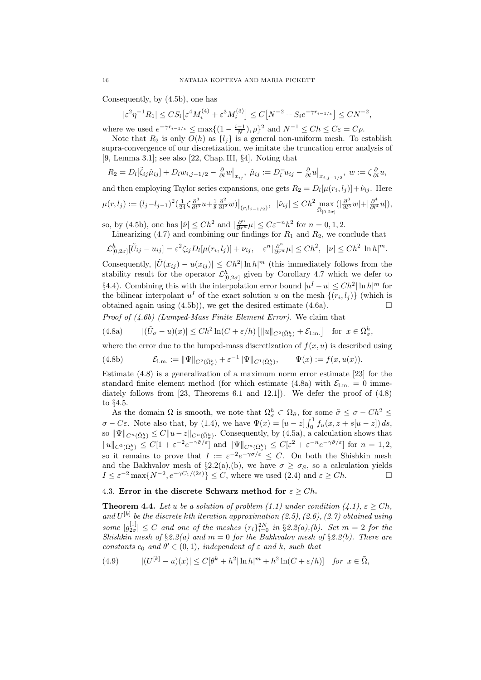Consequently, by (4.5b), one has

$$
|\varepsilon^2\eta^{-1}R_1| \leq C S_i \big[\varepsilon^4 M_i^{(4)} + \varepsilon^3 M_i^{(3)}\big] \leq C \big[N^{-2} + S_i e^{-\gamma r_{i-1/\varepsilon}}\big] \leq C N^{-2},
$$

where we used  $e^{-\gamma r_{i-1}} \leq \max\{(1-\frac{i-1}{N}), \rho\}^2$  and  $N^{-1} \leq Ch \leq C\varepsilon = C\rho$ .

Note that  $R_2$  is only  $O(h)$  as  $\{l_j\}$  is a general non-uniform mesh. To establish supra-convergence of our discretization, we imitate the truncation error analysis of [9, Lemma 3.1]; see also [22, Chap. III, *§*4]. Noting that

$$
R_2 = D_l[\tilde{\zeta}_{ij}\hat{\mu}_{ij}] + D_l w_{i,j-1/2} - \frac{\partial}{\partial l} w\big|_{x_{ij}}, \ \hat{\mu}_{ij} := D_l^- u_{ij} - \frac{\partial}{\partial l} u\big|_{x_{i,j-1/2}}, \ w := \zeta \frac{\partial}{\partial l} u,
$$

and then employing Taylor series expansions, one gets  $R_2 = D_l[\mu(r_i, l_j)] + \hat{\nu}_{ij}$ . Here  $\mu(r,l_j):=(l_j-l_{j-1})^2(\tfrac1{24}\zeta\tfrac{\partial^3}{\partial l^3}u+\tfrac18\tfrac{\partial^2}{\partial l^2}w)\big|_{(r,l_{j-1/2})},\ \ |\hat{\nu}_{ij}|\le Ch^2\max_{\bar{\Omega}_{[0,2\sigma]}}(|\tfrac{\partial^3}{\partial l^3}w|+|\tfrac{\partial^4}{\partial l^4}u|),$ 

so, by (4.5b), one has  $|\hat{\nu}| \leq Ch^2$  and  $|\frac{\partial^n}{\partial r^n}\mu| \leq C\varepsilon^{-n}h^2$  for  $n = 0, 1, 2$ .

Linearizing  $(4.7)$  and combining our findings for  $R_1$  and  $R_2$ , we conclude that

$$
\mathcal{L}_{[0,2\sigma]}^h[\tilde{U}_{ij}-u_{ij}] = \varepsilon^2 \zeta_{ij} D_l[\mu(r_i,l_j)] + \nu_{ij}, \quad \varepsilon^n |\frac{\partial^n}{\partial r^n}\mu| \le Ch^2, \quad |\nu| \le Ch^2 |\ln h|^m.
$$

Consequently,  $|\tilde{U}(x_{ij}) - u(x_{ij})| \leq Ch^2 |\ln h|^m$  (this immediately follows from the stability result for the operator  $\mathcal{L}_{[0,2\sigma]}^h$  given by Corollary 4.7 which we defer to §4.4). Combining this with the interpolation error bound  $|u^I - u|$  ≤  $Ch^2$  ln  $h|$ <sup>*m*</sup> for the bilinear interpolant  $u^I$  of the exact solution *u* on the mesh  $\{(r_i, l_j)\}$  (which is obtained again using  $(4.5b)$ , we get the desired estimate  $(4.6a)$ .

*Proof of (4.6b) (Lumped-Mass Finite Element Error).* We claim that

(4.8a) 
$$
|(\tilde{U}_{\sigma} - u)(x)| \leq Ch^2 \ln(C + \varepsilon/h) \left[ ||u||_{C^2(\bar{\Omega}_{\sigma}^h)} + \mathcal{E}_{1,m} \right] \text{ for } x \in \bar{\Omega}_{\sigma}^h,
$$

where the error due to the lumped-mass discretization of  $f(x, u)$  is described using

(4.8b) 
$$
\mathcal{E}_{\text{l.m.}} := \|\Psi\|_{C^2(\bar{\Omega}_\sigma^h)} + \varepsilon^{-1} \|\Psi\|_{C^1(\bar{\Omega}_\sigma^h)}, \qquad \Psi(x) := f(x, u(x)).
$$

Estimate (4.8) is a generalization of a maximum norm error estimate [23] for the standard finite element method (for which estimate  $(4.8a)$  with  $\mathcal{E}_{l,m} = 0$  immediately follows from  $[23,$  Theorems 6.1 and 12.1]). We defer the proof of  $(4.8)$ to *§*4.5.

As the domain  $\Omega$  is smooth, we note that  $\Omega_{\sigma}^h \subset \Omega_{\tilde{\sigma}}$ , for some  $\tilde{\sigma} \leq \sigma - Ch^2 \leq$ *σ* − *Cε*. Note also that, by (1.4), we have  $Ψ(x) = [u - z] \int_0^1 f_u(x, z + s[u - z]) ds$ ,  $\sup \|\Psi\|_{C^n(\bar{\Omega}^h_{\sigma})} \leq C \|u-z\|_{C^n(\bar{\Omega}^h_{\sigma})}$ . Consequently, by (4.5a), a calculation shows that  $||u||_{C^{2}(\bar{\Omega}_{\sigma}^{h})} \leq C[1+\varepsilon^{-2}e^{-\gamma\tilde{\sigma}/\varepsilon}]$  and  $||\Psi||_{C^{n}(\bar{\Omega}_{\sigma}^{h})} \leq C[\varepsilon^{2}+\varepsilon^{-n}e^{-\gamma\tilde{\sigma}/\varepsilon}]$  for  $n=1,2$ , so it remains to prove that  $I := \varepsilon^{-2} e^{-\gamma \sigma/\varepsilon} \leq C$ . On both the Shishkin mesh and the Bakhvalov mesh of  $\S 2.2(a)$ , (b), we have  $\sigma \geq \sigma_S$ , so a calculation yields  $I \leq \varepsilon^{-2} \max\{N^{-2}, e^{-\gamma C_1/(2\varepsilon)}\} \leq C$ , where we used (2.4) and  $\varepsilon \geq Ch$ .

### 4.3. **Error in the discrete Schwarz method for**  $\varepsilon \geq Ch$ **.**

**Theorem 4.4.** Let *u* be a solution of problem (1.1) under condition (4.1),  $\varepsilon > Ch$ , and  $U^{[k]}$  be the discrete *k*<sup>th</sup> iteration approximation  $(2.5)$ ,  $(2.6)$ ,  $(2.7)$  obtained using  $|g_{2\sigma}^{[1]}| \leq C$  *and one of the meshes*  $\{r_i\}_{i=0}^{2N}$  *in* §2.2(*a*),(*b*). Set *m* = 2 *for the Shishkin mesh of §2.2(a) and m* = 0 *for the Bakhvalov mesh of §2.2(b). There are constants*  $c_0$  *and*  $\theta' \in (0,1)$ *, independent* of  $\varepsilon$  *and*  $k$ *, such that* 

(4.9) 
$$
|(U^{[k]} - u)(x)| \le C[\theta^k + h^2] \ln h|^m + h^2 \ln(C + \varepsilon/h)] \text{ for } x \in \bar{\Omega},
$$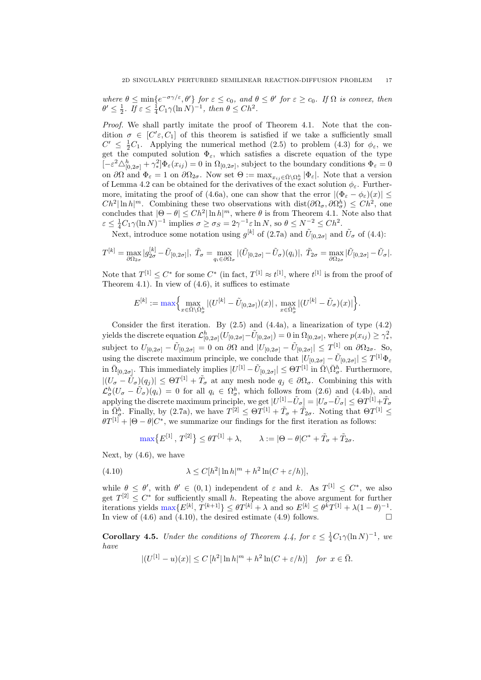where  $\theta \le \min\{e^{-\sigma \gamma/\varepsilon}, \theta'\}$  for  $\varepsilon \le c_0$ , and  $\theta \le \theta'$  for  $\varepsilon \ge c_0$ . If  $\Omega$  is convex, then  $\theta' \leq \frac{1}{2}$ *. If*  $\varepsilon \leq \frac{1}{4}C_1\gamma(\ln N)^{-1}$ *, then*  $\theta \leq Ch^2$ *.* 

*Proof.* We shall partly imitate the proof of Theorem 4.1. Note that the condition  $\sigma \in [C/\varepsilon, C_1]$  of this theorem is satisfied if we take a sufficiently small  $C' \leq \frac{1}{2}C_1$ . Applying the numerical method (2.5) to problem (4.3) for  $\phi_{\varepsilon}$ , we get the computed solution  $\Phi_{\varepsilon}$ , which satisfies a discrete equation of the type  $[-\varepsilon^2 \triangle_{[0,2\sigma]}^h + \gamma_*^2]$  $\mathcal{L}^2_*\left[\Phi_{\varepsilon}(x_{ij})=0\right]$  in  $\Omega_{[0,2\sigma]}$ , subject to the boundary conditions  $\Phi_{\varepsilon}=0$ on  $\partial\Omega$  and  $\Phi_{\varepsilon} = 1$  on  $\partial\Omega_{2\sigma}$ . Now set  $\Theta := \max_{x_{ij} \in \bar{\Omega} \setminus \Omega_{\sigma}^h} |\Phi_{\varepsilon}|$ . Note that a version of Lemma 4.2 can be obtained for the derivatives of the exact solution  $\phi_{\varepsilon}$ . Furthermore, imitating the proof of (4.6a), one can show that the error  $|(\Phi_{\varepsilon} - \phi_{\varepsilon})(x)| \le$  $Ch^2|\ln h|^m$ . Combining these two observations with dist $(\partial\Omega_{\sigma}, \partial\Omega_{\sigma}^h) \leq Ch^2$ , one concludes that  $|\Theta - \theta| \leq Ch^2 |\ln h|^m$ , where  $\theta$  is from Theorem 4.1. Note also that  $\varepsilon \leq \frac{1}{4}C_1\gamma(\ln N)^{-1}$  implies  $\sigma \geq \sigma_S = 2\gamma^{-1}\varepsilon \ln N$ , so  $\theta \leq N^{-2} \leq Ch^2$ .

Next, introduce some notation using  $g^{[k]}$  of (2.7a) and  $\tilde{U}_{[0,2\sigma]}$  and  $\tilde{U}_{\sigma}$  of (4.4):

$$
T^{[k]} = \max_{\partial \Omega_{2\sigma}} |g_{2\sigma}^{[k]} - \tilde{U}_{[0,2\sigma]}|, \quad \tilde{T}_{\sigma} = \max_{q_i \in \partial \Omega_{\sigma}} |(\tilde{U}_{[0,2\sigma]} - \tilde{U}_{\sigma})(q_i)|, \quad \tilde{T}_{2\sigma} = \max_{\partial \Omega_{2\sigma}} |\tilde{U}_{[0,2\sigma]} - \tilde{U}_{\sigma}|.
$$

Note that  $T^{[1]} \leq C^*$  for some  $C^*$  (in fact,  $T^{[1]} \approx t^{[1]}$ , where  $t^{[1]}$  is from the proof of Theorem 4.1). In view of  $(4.6)$ , it suffices to estimate

$$
E^{[k]}:=\max\Bigl\{\max_{x\in\bar{\Omega}\backslash\bar{\Omega}^h_{\sigma}}|(U^{[k]}-\tilde{U}_{[0,2\sigma]})(x)|\,,\,\max_{x\in\bar{\Omega}^h_{\sigma}}|(U^{[k]}-\tilde{U}_{\sigma})(x)|\Bigr\}.
$$

Consider the first iteration. By  $(2.5)$  and  $(4.4a)$ , a linearization of type  $(4.2)$  $\mathcal{L}_{[0,2\sigma]}^h(U_{[0,2\sigma]} - \tilde{U}_{[0,2\sigma]}) = 0$  in  $\Omega_{[0,2\sigma]}$ , where  $p(x_{ij}) \geq \gamma_*^2$ *∗* , subject to  $U_{[0,2\sigma]} - \tilde{U}_{[0,2\sigma]} = 0$  on  $\partial\Omega$  and  $|U_{[0,2\sigma]} - \tilde{U}_{[0,2\sigma]}| \le T^{[1]}$  on  $\partial\Omega_{2\sigma}$ . So, using the discrete maximum principle, we conclude that  $|U_{[0,2\sigma]} - \tilde{U}_{[0,2\sigma]}| \leq T^{[1]}\Phi_{\varepsilon}$  $\text{in } \overline{\Omega}_{[0,2\sigma]}$ . This immediately implies  $|U^{[1]} - \tilde{U}_{[0,2\sigma]}| \leq \Theta T^{[1]}$  in  $\overline{\Omega} \setminus \overline{\Omega}_{\sigma}^h$ . Furthermore,  $|(U_{\sigma} - \tilde{U}_{\sigma})(q_j)| \leq \Theta T^{[1]} + \tilde{T}_{\sigma}$  at any mesh node  $q_j \in \partial \Omega_{\sigma}$ . Combining this with  $\mathcal{L}^h_{\sigma}(U_{\sigma} - \tilde{U}_{\sigma})(q_i) = 0$  for all  $q_i \in \Omega^h_{\sigma}$ , which follows from (2.6) and (4.4b), and applying the discrete maximum principle, we get  $|U^{[1]} - \tilde{U}_{\sigma}| = |U_{\sigma} - \tilde{U}_{\sigma}| \leq \Theta T^{[1]} + \tilde{T}_{\sigma}$ in  $\bar{\Omega}^h_{\sigma}$ . Finally, by (2.7a), we have  $T^{[2]} \leq \Theta T^{[1]} + \tilde{T}_{\sigma} + \tilde{T}_{2\sigma}$ . Noting that  $\Theta T^{[1]} \leq$  $\theta T^{[1]} + |\Theta - \theta| C^*$ , we summarize our findings for the first iteration as follows:

$$
\max\bigl\{E^{[1]} \,,\, T^{[2]}\bigr\} \leq \theta T^{[1]} + \lambda, \qquad \lambda := |\Theta - \theta| C^* + \tilde{T}_\sigma + \tilde{T}_{2\sigma}.
$$

Next, by  $(4.6)$ , we have

(4.10) 
$$
\lambda \le C[h^2] \ln h|^m + h^2 \ln(C + \varepsilon/h)],
$$

while  $\theta \leq \theta'$ , with  $\theta' \in (0,1)$  independent of  $\varepsilon$  and  $k$ . As  $T^{[1]} \leq C^*$ , we also get  $T^{[2]} \leq C^*$  for sufficiently small *h*. Repeating the above argument for further iterations yields  $\max\{E^{[k]}, T^{[k+1]}\} \leq \theta T^{[k]} + \lambda$  and so  $E^{[k]} \leq \theta^k T^{[1]} + \lambda (1 - \theta)^{-1}$ . In view of  $(4.6)$  and  $(4.10)$ , the desired estimate  $(4.9)$  follows.

**Corollary 4.5.** *Under the conditions of Theorem 4.4, for*  $\varepsilon \leq \frac{1}{4}C_1\gamma(\ln N)^{-1}$ , we *have*

$$
|(U^{[1]} - u)(x)| \le C [h^2 |\ln h|^m + h^2 \ln(C + \varepsilon/h)] \quad \text{for } x \in \overline{\Omega}.
$$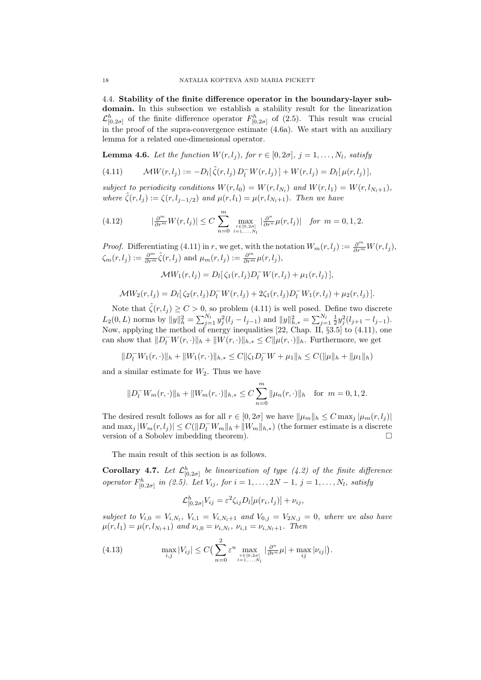4.4. **Stability of the finite difference operator in the boundary-layer subdomain.** In this subsection we establish a stability result for the linearization  $\mathcal{L}_{[0,2\sigma]}^{h}$  of the finite difference operator  $F_{[0,2\sigma]}^{h}$  of (2.5). This result was crucial in the proof of the supra-convergence estimate (4.6a). We start with an auxiliary lemma for a related one-dimensional operator.

**Lemma 4.6.** *Let the function*  $W(r, l_i)$ *, for*  $r \in [0, 2\sigma]$ *,*  $j = 1, \ldots, N_l$ *, satisfy* 

(4.11) 
$$
\mathcal{M}W(r, l_j) := -D_l[\tilde{\zeta}(r, l_j) D_l^{-} W(r, l_j)] + W(r, l_j) = D_l[\mu(r, l_j)],
$$

*subject to periodicity conditions*  $W(r, l_0) = W(r, l_{N_l})$  and  $W(r, l_1) = W(r, l_{N_l+1})$ , *where*  $\tilde{\zeta}(r, l_j) := \zeta(r, l_{j-1/2})$  *and*  $\mu(r, l_1) = \mu(r, l_{N_l+1})$ *. Then we have* 

(4.12) 
$$
|\frac{\partial^m}{\partial r^m}W(r,l_j)| \leq C \sum_{n=0}^m \max_{\substack{r \in [0,2\sigma] \\ l=1,\ldots,N_l}} |\frac{\partial^n}{\partial r^n}\mu(r,l_j)| \text{ for } m=0,1,2.
$$

*Proof.* Differentiating (4.11) in *r*, we get, with the notation  $W_m(r, l_j) := \frac{\partial^m}{\partial r^m} W(r, l_j)$ ,  $\zeta_m(r, l_j) := \frac{\partial^m}{\partial r^m} \tilde{\zeta}(r, l_j)$  and  $\mu_m(r, l_j) := \frac{\partial^m}{\partial r^m} \mu(r, l_j)$ ,

$$
\mathcal{M}W_1(r, l_j) = D_l[\zeta_1(r, l_j)D_l^{-}W(r, l_j) + \mu_1(r, l_j)],
$$

$$
\mathcal{M}W_2(r, l_j) = D_l[\zeta_2(r, l_j)D_l^- W(r, l_j) + 2\zeta_1(r, l_j)D_l^- W_1(r, l_j) + \mu_2(r, l_j)].
$$

Note that  $\tilde{\zeta}(r, l_j) \geq C > 0$ , so problem (4.11) is well posed. Define two discrete  $L_2(0,L)$  norms by  $||y||_h^2 = \sum_{j=1}^{N_l} y_j^2 (l_j - l_{j-1})$  and  $||y||_{h,*}^2 = \sum_{j=1}^{N_l} \frac{1}{2} y_j^2 (l_{j+1} - l_{j-1}).$ Now, applying the method of energy inequalities [22, Chap. II, *§*3.5] to (4.11), one can show that  $||D_l^-W(r,\cdot)||_h + ||W(r,\cdot)||_{h,*} \leq C||\mu(r,\cdot)||_h$ . Furthermore, we get

$$
||D_l^-W_1(r,\cdot)||_h+||W_1(r,\cdot)||_{h,*}\leq C||\zeta_1D_l^-W+\mu_1||_h\leq C(||\mu||_h+||\mu_1||_h)
$$

and a similar estimate for  $W_2$ . Thus we have

$$
||D_l^-W_m(r,\cdot)||_h + ||W_m(r,\cdot)||_{h,*} \le C \sum_{n=0}^m ||\mu_n(r,\cdot)||_h \text{ for } m = 0, 1, 2.
$$

The desired result follows as for all  $r \in [0, 2\sigma]$  we have  $\|\mu_m\|_h \leq C \max_j |\mu_m(r, l_j)|$ and  $\max_j |W_m(r, l_j)| \le C(||D_l^- W_m||_h + ||W_m||_{h,*})$  (the former estimate is a discrete version of a Sobolev imbedding theorem).

The main result of this section is as follows.

**Corollary 4.7.** Let  $\mathcal{L}_{[0,2\sigma]}^h$  be linearization of type (4.2) of the finite difference *operator*  $F_{[0,2\sigma]}^h$  *in (2.5).* Let  $V_{ij}$ *, for*  $i = 1, ..., 2N - 1$ *,*  $j = 1, ..., N_l$ *, satisfy* 

$$
\mathcal{L}_{[0,2\sigma]}^h V_{ij} = \varepsilon^2 \zeta_{ij} D_l[\mu(r_i,l_j)] + \nu_{ij},
$$

*subject to*  $V_{i,0} = V_{i,N_l}$ ,  $V_{i,1} = V_{i,N_l+1}$  *and*  $V_{0,j} = V_{2N,j} = 0$ *, where we also have*  $\mu(r, l_1) = \mu(r, l_{N_l+1})$  *and*  $\nu_{i,0} = \nu_{i,N_l}, \nu_{i,1} = \nu_{i,N_l+1}.$  Then

(4.13) 
$$
\max_{i,j} |V_{ij}| \leq C \Big( \sum_{n=0}^2 \varepsilon^n \max_{\substack{r \in [0,2\sigma] \\ l=1,\ldots,N_l}} |\frac{\partial^n}{\partial r^n} \mu| + \max_{ij} |\nu_{ij}| \Big).
$$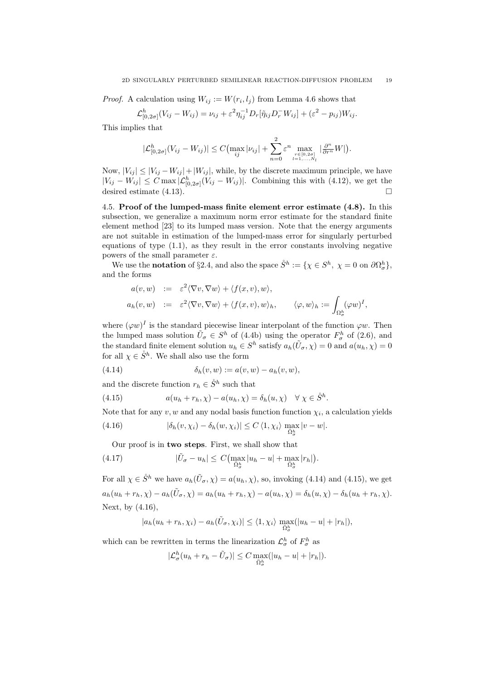*Proof.* A calculation using  $W_{ij} := W(r_i, l_j)$  from Lemma 4.6 shows that

$$
\mathcal{L}_{[0,2\sigma]}^h(V_{ij}-W_{ij})=\nu_{ij}+\varepsilon^2\eta_{ij}^{-1}D_r[\tilde{\eta}_{ij}D_r^-W_{ij}]+(\varepsilon^2-p_{ij})W_{ij}.
$$

This implies that

$$
|\mathcal{L}_{[0,2\sigma]}^h(V_{ij} - W_{ij})| \leq C \bigl( \max_{ij} |\nu_{ij}| + \sum_{n=0}^2 \varepsilon^n \max_{\substack{r \in [0,2\sigma] \\ l=1,\ldots,N_l}} |\frac{\partial^n}{\partial r^n} W| \bigr).
$$

Now,  $|V_{ij}| \leq |V_{ij} - W_{ij}| + |W_{ij}|$ , while, by the discrete maximum principle, we have  $|V_{ij} - W_{ij}|$  ≤ *C* max  $|\mathcal{L}_{[0,2\sigma]}^h(V_{ij} - W_{ij})|$ . Combining this with (4.12), we get the desired estimate  $(4.13)$ .

4.5. **Proof of the lumped-mass finite element error estimate (4.8).** In this subsection, we generalize a maximum norm error estimate for the standard finite element method [23] to its lumped mass version. Note that the energy arguments are not suitable in estimation of the lumped-mass error for singularly perturbed equations of type  $(1.1)$ , as they result in the error constants involving negative powers of the small parameter  $\varepsilon$ .

We use the **notation** of §2.4, and also the space  $\mathring{S}^h := \{ \chi \in S^h, \ \chi = 0 \text{ on } \partial \Omega^h_{\sigma} \},\$ and the forms

$$
a(v, w) := \varepsilon^2 \langle \nabla v, \nabla w \rangle + \langle f(x, v), w \rangle,
$$
  
\n
$$
a_h(v, w) := \varepsilon^2 \langle \nabla v, \nabla w \rangle + \langle f(x, v), w \rangle_h, \quad \langle \varphi, w \rangle_h := \int_{\Omega_{\sigma}^h} (\varphi w)^I,
$$

where  $(\varphi w)^I$  is the standard piecewise linear interpolant of the function  $\varphi w$ . Then the lumped mass solution  $\tilde{U}_{\sigma} \in S^h$  of (4.4b) using the operator  $F_{\sigma}^h$  of (2.6), and the standard finite element solution  $u_h \in S^h$  satisfy  $a_h(\tilde{U}_{\sigma}, \chi) = 0$  and  $a(u_h, \chi) = 0$ for all  $\chi \in \overset{\circ}{S}h$ . We shall also use the form

(4.14) 
$$
\delta_h(v, w) := a(v, w) - a_h(v, w),
$$

and the discrete function  $r_h \in \mathring{S}^h$  such that

(4.15) 
$$
a(u_h + r_h, \chi) - a(u_h, \chi) = \delta_h(u, \chi) \quad \forall \chi \in \mathring{S}^h.
$$

Note that for any  $v, w$  and any nodal basis function function  $\chi_i$ , a calculation yields

(4.16) 
$$
|\delta_h(v,\chi_i)-\delta_h(w,\chi_i)| \leq C \langle 1,\chi_i\rangle \max_{\overline{\Omega}_{\sigma}^h} |v-w|.
$$

Our proof is in **two steps**. First, we shall show that

(4.17) 
$$
|\tilde{U}_{\sigma} - u_h| \leq C \Big( \max_{\bar{\Omega}_{\sigma}^h} |u_h - u| + \max_{\bar{\Omega}_{\sigma}^h} |r_h| \Big).
$$

For all  $\chi \in \mathring{S}^h$  we have  $a_h(\tilde{U}_{\sigma}, \chi) = a(u_h, \chi)$ , so, invoking (4.14) and (4.15), we get  $a_h(u_h + r_h, \chi) - a_h(\tilde{U}_{\sigma}, \chi) = a_h(u_h + r_h, \chi) - a(u_h, \chi) = \delta_h(u, \chi) - \delta_h(u_h + r_h, \chi).$ Next, by (4.16),

$$
|a_h(u_h + r_h, \chi_i) - a_h(\tilde{U}_{\sigma}, \chi_i)| \le \langle 1, \chi_i \rangle \max_{\bar{\Omega}_{\sigma}^h}(|u_h - u| + |r_h|),
$$

which can be rewritten in terms the linearization  $\mathcal{L}^h_{\sigma}$  of  $F^h_{\sigma}$  as

$$
|\mathcal{L}_{\sigma}^{h}(u_{h}+r_{h}-\tilde{U}_{\sigma})|\leq C\max_{\Omega_{\sigma}^{h}}(|u_{h}-u|+|r_{h}|).
$$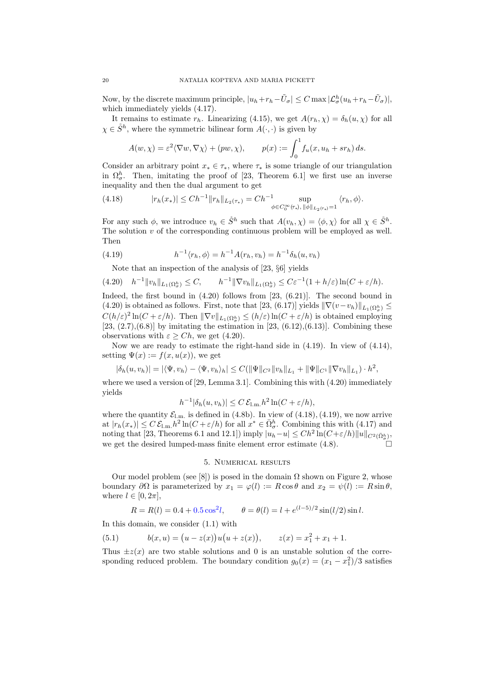Now, by the discrete maximum principle,  $|u_h + r_h - \tilde{U}_{\sigma}| \leq C \max |\mathcal{L}_{\sigma}^h(u_h + r_h - \tilde{U}_{\sigma})|$ , which immediately yields (4.17).

It remains to estimate  $r_h$ . Linearizing (4.15), we get  $A(r_h, \chi) = \delta_h(u, \chi)$  for all  $\chi \in \mathring{S}^h$ , where the symmetric bilinear form  $A(\cdot, \cdot)$  is given by

$$
A(w, \chi) = \varepsilon^2 \langle \nabla w, \nabla \chi \rangle + (pw, \chi), \qquad p(x) := \int_0^1 f_u(x, u_h + sr_h) \, ds.
$$

Consider an arbitrary point  $x_* \in \tau_*$ , where  $\tau_*$  is some triangle of our triangulation in  $\Omega^h_{\sigma}$ . Then, imitating the proof of [23, Theorem 6.1] we first use an inverse inequality and then the dual argument to get

(4.18) 
$$
|r_h(x_*)| \leq Ch^{-1} \|r_h\|_{L_2(\tau_*)} = Ch^{-1} \sup_{\phi \in C_0^{\infty}(\tau_*), \ \|\phi\|_{L_2(\tau_*)} = 1} \langle r_h, \phi \rangle.
$$

For any such  $\phi$ , we introduce  $v_h \in \mathring{S}^h$  such that  $A(v_h, \chi) = \langle \phi, \chi \rangle$  for all  $\chi \in \mathring{S}^h$ . The solution *v* of the corresponding continuous problem will be employed as well. Then

(4.19) 
$$
h^{-1} \langle r_h, \phi \rangle = h^{-1} A(r_h, v_h) = h^{-1} \delta_h(u, v_h)
$$

Note that an inspection of the analysis of [23, *§*6] yields

$$
(4.20) \quad h^{-1} \|v_h\|_{L_1(\Omega^h_\sigma)} \leq C, \qquad h^{-1} \|\nabla v_h\|_{L_1(\Omega^h_\sigma)} \leq C\varepsilon^{-1} (1+h/\varepsilon) \ln(C+\varepsilon/h).
$$

Indeed, the first bound in  $(4.20)$  follows from [23,  $(6.21)$ ]. The second bound in  $(4.20)$  is obtained as follows. First, note that [23,  $(6.17)$ ] yields  $\|\nabla(v-v_h)\|_{L_1(\Omega^h_{\sigma})} \leq$  $C(h/\varepsilon)^2 \ln(C + \varepsilon/h)$ . Then  $\|\nabla v\|_{L_1(\Omega^h_{\sigma})} \le (h/\varepsilon) \ln(C + \varepsilon/h)$  is obtained employing  $[23, (2.7), (6.8)]$  by imitating the estimation in  $[23, (6.12), (6.13)]$ . Combining these observations with  $\varepsilon \geq Ch$ , we get (4.20).

Now we are ready to estimate the right-hand side in (4.19). In view of (4.14), setting  $\Psi(x) := f(x, u(x))$ , we get

$$
|\delta_h(u, v_h)| = |\langle \Psi, v_h \rangle - \langle \Psi, v_h \rangle_h| \leq C(||\Psi||_{C^2} ||v_h||_{L_1} + ||\Psi||_{C^1} ||\nabla v_h||_{L_1}) \cdot h^2,
$$

where we used a version of [29, Lemma 3.1]. Combining this with  $(4.20)$  immediately yields

$$
h^{-1}|\delta_h(u,v_h)| \le C \mathcal{E}_{1,m} h^2 \ln(C + \varepsilon/h),
$$

where the quantity  $\mathcal{E}_{1,m}$  is defined in (4.8b). In view of (4.18), (4.19), we now arrive at  $|r_h(x_*)| \leq C \mathcal{E}_{1,m} h^2 \ln(C + \varepsilon/h)$  for all  $x^* \in \bar{\Omega}_{\sigma}^h$ . Combining this with (4.17) and noting that [23, Theorems 6.1 and 12.1]) imply  $|u_h - u| \le Ch^2 \ln(C + \varepsilon/h) ||u||_{C^2(\bar{\Omega}_{\sigma}^h)},$ we get the desired lumped-mass finite element error estimate (4.8).

### 5. Numerical results

Our model problem (see [8]) is posed in the domain  $\Omega$  shown on Figure 2, whose *boundary*  $\partial\Omega$  is parameterized by  $x_1 = \varphi(l) := R \cos \theta$  and  $x_2 = \psi(l) := R \sin \theta$ , where  $l \in [0, 2\pi]$ ,

$$
R = R(l) = 0.4 + 0.5 \cos^2 l, \qquad \theta = \theta(l) = l + e^{(l-5)/2} \sin(l/2) \sin l.
$$

In this domain, we consider (1.1) with

(5.1) 
$$
b(x, u) = (u - z(x))u(u + z(x)), \qquad z(x) = x_1^2 + x_1 + 1.
$$

Thus  $\pm z(x)$  are two stable solutions and 0 is an unstable solution of the corresponding reduced problem. The boundary condition  $g_0(x) = (x_1 - x_1^2)/3$  satisfies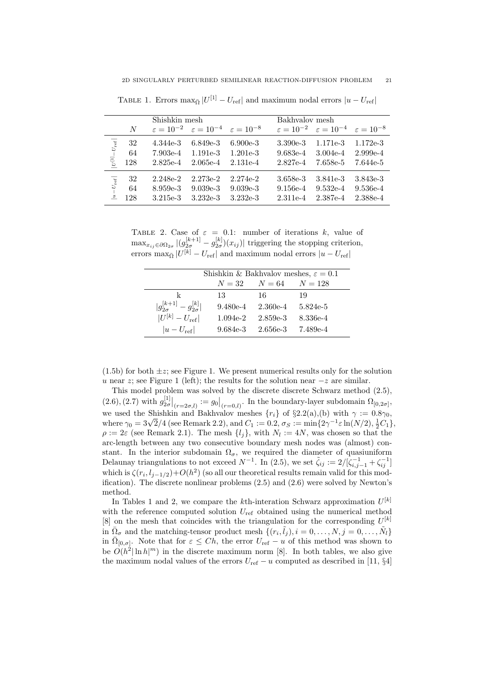|                                                            |     | Shishkin mesh |                                                                         |            |            | Bakhyalov mesh                                                          |            |  |
|------------------------------------------------------------|-----|---------------|-------------------------------------------------------------------------|------------|------------|-------------------------------------------------------------------------|------------|--|
|                                                            | N   |               | $\varepsilon = 10^{-2}$ $\varepsilon = 10^{-4}$ $\varepsilon = 10^{-8}$ |            |            | $\varepsilon = 10^{-2}$ $\varepsilon = 10^{-4}$ $\varepsilon = 10^{-8}$ |            |  |
| $\left U^{\left[1\right]} \!\!-\! U_{\mathrm{ref}}\right $ | 32  | 4.344e-3      | $6.849e-3$                                                              | $6.900e-3$ | $3.390e-3$ | 1.171e-3                                                                | $1.172e-3$ |  |
|                                                            | 64  | 7.903e-4      | $1.191e-3$                                                              | $1.201e-3$ | $9.683e-4$ | $3.004e-4$                                                              | $2.999e-4$ |  |
|                                                            | 128 | 2.825e-4      | $2.065e-4$                                                              | $2.131e-4$ | 2.827e-4   | 7.658e-5                                                                | 7.644e-5   |  |
| $\vert u - U_{\rm ref} \vert$                              | 32  | 2.248e-2      | $2.273e-2$                                                              | 2.274e-2   | 3.658e-3   | 3.841e-3                                                                | 3.843e-3   |  |
|                                                            | 64  | 8.959e-3      | $9.039e-3$                                                              | $9.039e-3$ | $9.156e-4$ | $9.532e-4$                                                              | $9.536e-4$ |  |
|                                                            | 128 | $3.215e-3$    | $3.232e-3$                                                              | $3.232e-3$ | 2.311e-4   | 2.387e-4                                                                | 2.388e-4   |  |

TABLE 1. Errors  $\max_{\bar{\Omega}} |U^{[1]} - U_{\text{ref}}|$  and maximum nodal errors  $|u - U_{\text{ref}}|$ 

TABLE 2. Case of  $\varepsilon = 0.1$ : number of iterations *k*, value of  $\max_{x_{ij}\in\partial\Omega_{2\sigma}} |(g_{2\sigma}^{[k+1]} - g_{2\sigma}^{[k]})(x_{ij})|$  triggering the stopping criterion, errors  $\max_{\bar{\Omega}} |U^{[k]} - U_{\text{ref}}|$  and maximum nodal errors  $|u - U_{\text{ref}}|$ 

|                                             | Shishkin & Bakhvalov meshes, $\varepsilon = 0.1$ |                             |          |  |  |  |
|---------------------------------------------|--------------------------------------------------|-----------------------------|----------|--|--|--|
|                                             |                                                  | $N = 32$ $N = 64$ $N = 128$ |          |  |  |  |
| k                                           | 13                                               | -16                         | 19       |  |  |  |
| $ g_{2\sigma}^{[k+1]} - g_{2\sigma}^{[k]} $ | $9.480e-4$                                       | $2.360e-4$                  | 5.824e-5 |  |  |  |
| $ U^{[k]} - U_{\text{ref}} $                | $1.094e-2$                                       | 2.859e-3                    | 8.336e-4 |  |  |  |
| $ u-U_{\text{ref}} $                        | 9.684e-3                                         | 2.656e-3                    | 7.489e-4 |  |  |  |

 $(1.5b)$  for both  $\pm z$ ; see Figure 1. We present numerical results only for the solution *u* near *z*; see Figure 1 (left); the results for the solution near  $-z$  are similar.

This model problem was solved by the discrete discrete Schwarz method (2.5),  $(2.6), (2.7)$  with  $g_{2\sigma}^{[1]}|_{(r=2\sigma,l)} := g_0|_{(r=0,l)}$ . In the boundary-layer subdomain  $\Omega_{[0,2\sigma]}$ , we used the Shishkin and Bakhvalov meshes  $\{r_i\}$  of  $\S 2.2(a)$ , (b) with  $\gamma := 0.8\gamma_0$ , where  $\gamma_0 = 3\sqrt{2}/4$  (see Remark 2.2), and  $C_1 := 0.2$ ,  $\sigma_S := \min\{2\gamma^{-1}\varepsilon \ln(N/2), \frac{1}{2}C_1\}$ ,  $\rho := 2\varepsilon$  (see Remark 2.1). The mesh  $\{l_j\}$ , with  $N_l := 4N$ , was chosen so that the arc-length between any two consecutive boundary mesh nodes was (almost) constant. In the interior subdomain  $\Omega_{\sigma}$ , we required the diameter of quasiuniform Delaunay triangulations to not exceed  $N^{-1}$ . In (2.5), we set  $\tilde{\zeta}_{ij} := 2/[\zeta_{i,j-1}^{-1} + \zeta_{ij}^{-1}]$ which is  $\zeta(r_i, l_{j-1/2}) + O(h^2)$  (so all our theoretical results remain valid for this modification). The discrete nonlinear problems (2.5) and (2.6) were solved by Newton's method.

In Tables 1 and 2, we compare the *k*th-interation Schwarz approximation *U* [*k*] with the reference computed solution  $U_{\text{ref}}$  obtained using the numerical method  $[8]$  on the mesh that coincides with the triangulation for the corresponding  $U^{[k]}$ in  $\overline{\Omega}_{\sigma}$  and the matching-tensor product mesh  $\{(r_i, \tilde{l}_j), i = 0, \ldots, N, j = 0, \ldots, \tilde{N}_l\}$ in  $\overline{\Omega}_{[0,\sigma]}$ . Note that for  $\varepsilon \leq Ch$ , the error  $U_{\text{ref}} - u$  of this method was shown to be  $O(h^2 |\ln h|^m)$  in the discrete maximum norm [8]. In both tables, we also give the maximum nodal values of the errors  $U_{\text{ref}} - u$  computed as described in [11, §4]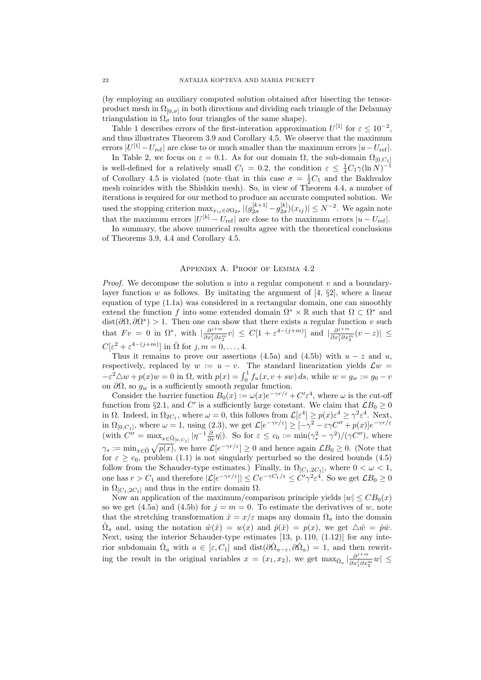(by employing an auxiliary computed solution obtained after bisecting the tensorproduct mesh in  $\Omega_{[0,\sigma]}$  in both directions and dividing each triangle of the Delaunay triangulation in  $\Omega_{\sigma}$  into four triangles of the same shape).

Table 1 describes errors of the first-interation approximation  $U^{[1]}$  for  $\varepsilon \leq 10^{-2}$ , and thus illustrates Theorem 3.9 and Corollary 4.5. We observe that the maximum  $\text{errors } |U^{[1]} - U_{\text{ref}}|$  are close to or much smaller than the maximum errors  $|u - U_{\text{ref}}|$ .

In Table 2, we focus on  $\varepsilon = 0.1$ . As for our domain  $\Omega$ , the sub-domain  $\Omega_{[0, C_1]}$ is well-defined for a relatively small  $C_1 = 0.2$ , the condition  $\varepsilon \leq \frac{1}{4}C_1\gamma(\ln N)^{-1}$ of Corollary 4.5 is violated (note that in this case  $\sigma = \frac{1}{2}C_1$  and the Bakhvalov mesh coincides with the Shishkin mesh). So, in view of Theorem 4.4, a number of iterations is required for our method to produce an accurate computed solution. We used the stopping criterion  $\max_{x_{ij}\in\partial\Omega_{2\sigma}}|(g_{2\sigma}^{[k+1]}-g_{2\sigma}^{[k]})(x_{ij})|\leq N^{-2}$ . We again note that the maximum errors  $|U^{[k]} - U_{\text{ref}}|$  are close to the maximum errors  $|u - U_{\text{ref}}|$ .

In summary, the above numerical results agree with the theoretical conclusions of Theorems 3.9, 4.4 and Corollary 4.5.

# Appendix A. Proof of Lemma 4.2

*Proof.* We decompose the solution *u* into a regular component *v* and a boundarylayer function *w* as follows. By imitating the argument of  $[4, \S2]$ , where a linear equation of type (1.1a) was considered in a rectangular domain, one can smoothly extend the function *f* into some extended domain  $\Omega^* \times \mathbb{R}$  such that  $\Omega \subset \Omega^*$  and  $dist(\partial\Omega, \partial\Omega^*) > 1$ . Then one can show that there exists a regular function *v* such that  $F v = 0$  in  $\Omega^*$ , with  $\left| \frac{\partial^{j+m}}{\partial x^j \partial x^j} \right|$  $\frac{\partial^{j+m}}{\partial x_1^j \partial x_2^m} v \leq C[1 + \varepsilon^{4-(j+m)}]$  and  $\left| \frac{\partial^{j+m}}{\partial x_1^j \partial x_2^m} \right|$  $\frac{\partial^{j+m}}{\partial x_1^j \partial x_2^m}$   $(v-z)$  | ≤  $C[\varepsilon^2 + \varepsilon^{4-(j+m)}]$  in  $\overline{\Omega}$  for  $j, m = 0, \ldots, 4$ .

Thus it remains to prove our assertions  $(4.5a)$  and  $(4.5b)$  with  $u - z$  and  $u$ , respectively, replaced by  $w := u - v$ . The standard linearization yields  $\mathcal{L}w =$  $-\varepsilon^2 \Delta w + p(x)w = 0$  in  $\Omega$ , with  $p(x) = \int_0^1 f_u(x, v + sw) ds$ , while  $w = g_w := g_0 - v$ on  $\partial\Omega$ , so  $g_w$  is a sufficiently smooth regular function.

Consider the barrier function  $B_0(x) := \omega(x)e^{-\gamma r/\varepsilon} + C' \varepsilon^4$ , where  $\omega$  is the cut-off function from §2.1, and *C'* is a sufficiently large constant. We claim that  $\mathcal{L}B_0 \geq 0$ in  $\Omega$ . Indeed, in  $\Omega_{2C_1}$ , where  $\omega = 0$ , this follows from  $\mathcal{L}[\varepsilon^4] \ge p(x)\varepsilon^4 \ge \gamma^2 \varepsilon^4$ . Next, in  $\Omega_{[0,C_1]}$ , where  $\omega = 1$ , using (2.3), we get  $\mathcal{L}[e^{-\gamma r/\varepsilon}] \geq [-\gamma^2 - \varepsilon \gamma C'' + p(x)]e^{-\gamma r/\varepsilon}$ (with  $C'' = \max_{x \in \bar{\Omega}_{[0, C_1]}} |\eta^{-1} \frac{\partial}{\partial r} \eta|$ ). So for  $\varepsilon \le c_0 := \min(\gamma_*^2 - \gamma^2)/(\gamma C'')$ , where  $\gamma_* := \min_{x \in \overline{\Omega}} \sqrt{p(x)}$ , we have  $\mathcal{L}[e^{-\gamma r/\varepsilon}] \geq 0$  and hence again  $\mathcal{L}B_0 \geq 0$ . (Note that for  $\varepsilon \geq c_0$ , problem (1.1) is not singularly perturbed so the desired bounds (4.5) follow from the Schauder-type estimates.) Finally, in  $\Omega_{[C_1,2C_1]}$ , where  $0 < \omega < 1$ , one has  $r > C_1$  and therefore  $|\mathcal{L}[e^{-\gamma r/\varepsilon}]| \leq Ce^{-\gamma C_1/\varepsilon} \leq C'\gamma^2 \varepsilon^4$ . So we get  $\mathcal{L}B_0 \geq 0$ in  $\Omega_{[C_1, 2C_1]}$  and thus in the entire domain  $\Omega$ .

Now an application of the maximum/comparison principle yields  $|w| \leq CB_0(x)$ so we get (4.5a) and (4.5b) for  $j = m = 0$ . To estimate the derivatives of *w*, note that the stretching transformation  $\hat{x} = x/\varepsilon$  maps any domain  $\Omega_a$  into the domain  $\hat{\Omega}_a$  and, using the notation  $\hat{w}(\hat{x}) = w(x)$  and  $\hat{p}(\hat{x}) = p(x)$ , we get  $\Delta \hat{w} = \hat{p}\hat{w}$ . Next, using the interior Schauder-type estimates [13, p. 110, (1.12)] for any interior subdomain  $\hat{\Omega}_a$  with  $a \in [\varepsilon, C_1]$  and dist $(\partial \hat{\Omega}_{a-\varepsilon}, \partial \hat{\Omega}_a) = 1$ , and then rewriting the result in the original variables  $x = (x_1, x_2)$ , we get  $\max_{\overline{\Omega}_a} |\frac{\partial^{j+m}}{\partial x_i \partial x_i}|$  $\frac{\partial^{j+m}}{\partial x_1^j \partial x_2^m}$ *w*| ≤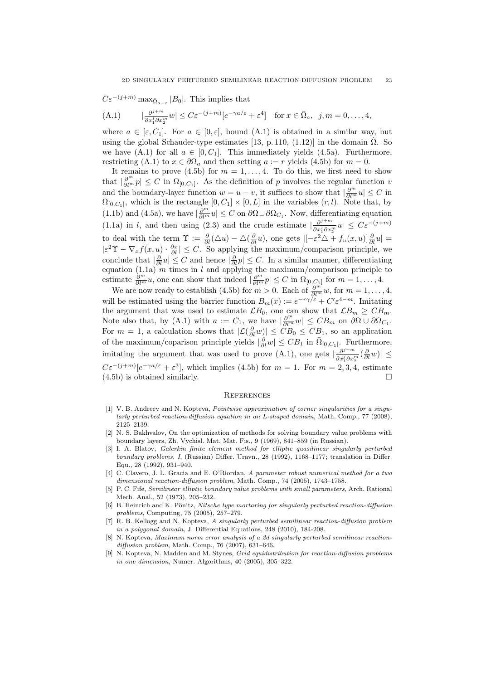$$
C\varepsilon^{-(j+m)} \max_{\bar{\Omega}_{a-\varepsilon}} |B_0|. \text{ This implies that}
$$
  
(A.1) 
$$
|\frac{\partial^{j+m}}{\partial x_1^j \partial x_2^m} w| \le C\varepsilon^{-(j+m)} [e^{-\gamma a/\varepsilon} + \varepsilon^4] \text{ for } x \in \bar{\Omega}_a, j, m = 0, ..., 4,
$$

where  $a \in [\varepsilon, C_1]$ . For  $a \in [0, \varepsilon]$ , bound  $(A.1)$  is obtained in a similar way, but using the global Schauder-type estimates [13, p. 110, (1.12)] in the domain  $\Omega$ . So we have  $(A.1)$  for all  $a \in [0, C_1]$ . This immediately yields  $(4.5a)$ . Furthermore, restricting (A.1) to  $x \in \partial\Omega_a$  and then setting  $a := r$  yields (4.5b) for  $m = 0$ .

It remains to prove  $(4.5b)$  for  $m = 1, \ldots, 4$ . To do this, we first need to show that  $|\frac{\partial^m}{\partial l^m}p| \leq C$  in  $\Omega_{[0,C_1]}$ . As the definition of *p* involves the regular function *v* and the boundary-layer function  $w = u - v$ , it suffices to show that  $|\frac{\partial^m}{\partial l^m} u| \leq C$  in  $\Omega_{[0, C_1]}$ , which is the rectangle  $[0, C_1] \times [0, L]$  in the variables  $(r, l)$ . Note that, by (1.1b) and (4.5a), we have  $|\frac{\partial^m}{\partial l^m}u| \leq C$  on  $\partial\Omega \cup \partial\Omega_{C_1}$ . Now, differentiating equation (1.1a) in *l*, and then using (2.3) and the crude estimate  $\frac{\partial^{j+m}}{\partial q^j}$  $\frac{\partial^{j+m}}{\partial x_1^j \partial x_2^m} u \leq C \varepsilon^{-(j+m)}$ to deal with the term  $\Upsilon := \frac{\partial}{\partial l}(\Delta u) - \Delta(\frac{\partial}{\partial l}u)$ , one gets  $|[-\varepsilon^2 \Delta + f_u(x, u)]\frac{\partial}{\partial l}u|$  $|\varepsilon^2 \Upsilon - \nabla_x f(x, u) \cdot \frac{\partial x}{\partial l}| \leq C$ . So applying the maximum/comparison principle, we conclude that  $|\frac{\partial}{\partial l}u| \leq C$  and hence  $|\frac{\partial}{\partial l}p| \leq C$ . In a similar manner, differentiating equation (1.1a) *m* times in *l* and applying the maximum/comparison principle to estimate  $\frac{\partial^m}{\partial l^m} u$ , one can show that indeed  $|\frac{\partial^m}{\partial l^m} p| \leq C$  in  $\Omega_{[0, C_1]}$  for  $m = 1, \ldots, 4$ .

We are now ready to establish (4.5b) for  $m > 0$ . Each of  $\frac{\partial^{m}}{\partial l^{m}} w$ , for  $m = 1, ..., 4$ , will be estimated using the barrier function  $B_m(x) := e^{-r\gamma/\varepsilon} + C' \varepsilon^{4-m}$ . Imitating the argument that was used to estimate  $\mathcal{L}B_0$ , one can show that  $\mathcal{L}B_m \geq CB_m$ . Note also that, by (A.1) with  $a := C_1$ , we have  $\left|\frac{\partial^m}{\partial l^m} w\right| \leq C B_m$  on  $\partial\Omega \cup \partial\Omega_{C_1}$ . For  $m = 1$ , a calculation shows that  $|\mathcal{L}(\frac{\partial}{\partial l}w)| \leq CB_0 \leq CB_1$ , so an application of the maximum/coparison principle yields  $|\frac{\partial}{\partial l}w| \leq CB_1$  in  $\overline{\Omega}_{[0,C_1]}$ . Furthermore, imitating the argument that was used to prove  $(A.1)$ , one gets  $\frac{\partial^{j+m}}{\partial a^{j}}$  $\frac{\partial^{j+m}}{\partial x_1^j \partial x_2^m}$  $(\frac{\partial}{\partial l}w)$ | ≤  $C\varepsilon^{-(j+m)}[e^{-\gamma a/\varepsilon} + \varepsilon^3]$ , which implies (4.5b) for  $m = 1$ . For  $m = 2, 3, 4$ , estimate  $(4.5b)$  is obtained similarly.

#### **REFERENCES**

- [1] V. B. Andreev and N. Kopteva, *Pointwise approximation of corner singularities for a singularly perturbed reaction-diffusion equation in an L-shaped domain*, Math. Comp., 77 (2008), 2125–2139.
- [2] N. S. Bakhvalov, On the optimization of methods for solving boundary value problems with boundary layers, Zh. Vychisl. Mat. Mat. Fis., 9 (1969), 841–859 (in Russian).
- [3] I. A. Blatov, *Galerkin finite element method for elliptic quasilinear singularly perturbed boundary problems. I*, (Russian) Differ. Uravn., 28 (1992), 1168–1177; translation in Differ. Equ., 28 (1992), 931–940.
- [4] C. Clavero, J. L. Gracia and E. O'Riordan, *A parameter robust numerical method for a two dimensional reaction-diffusion problem*, Math. Comp., 74 (2005), 1743–1758.
- [5] P. C. Fife, *Semilinear elliptic boundary value problems with small parameters*, Arch. Rational Mech. Anal., 52 (1973), 205–232.
- [6] B. Heinrich and K. Pönitz, *Nitsche type mortaring for singularly perturbed reaction-diffusion problems*, Computing, 75 (2005), 257–279.
- [7] R. B. Kellogg and N. Kopteva, *A singularly perturbed semilinear reaction-diffusion problem in a polygonal domain*, J. Differential Equations, 248 (2010), 184-208.
- [8] N. Kopteva, *Maximum norm error analysis of a 2d singularly perturbed semilinear reactiondiffusion problem*, Math. Comp., 76 (2007), 631–646.
- [9] N. Kopteva, N. Madden and M. Stynes, *Grid equidistribution for reaction-diffusion problems in one dimension*, Numer. Algorithms, 40 (2005), 305–322.